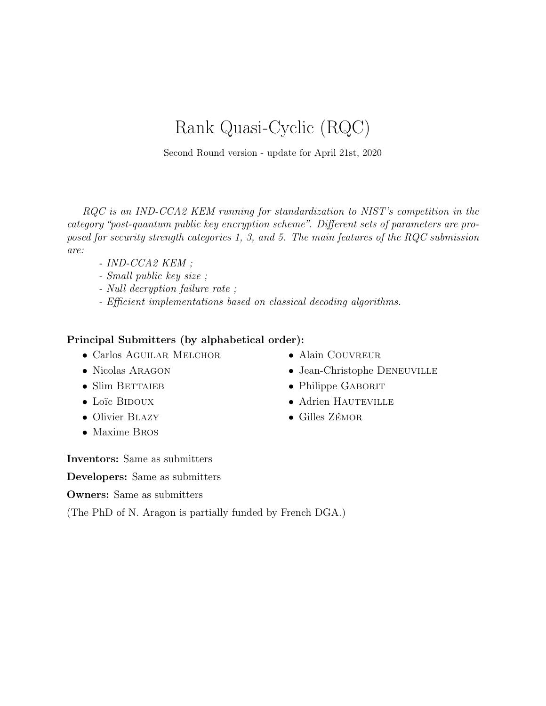# Rank Quasi-Cyclic (RQC)

Second Round version - update for April 21st, 2020

RQC is an IND-CCA2 KEM running for standardization to NIST's competition in the category "post-quantum public key encryption scheme". Different sets of parameters are proposed for security strength categories 1, 3, and 5. The main features of the RQC submission are:

- IND-CCA2 KEM ;
- Small public key size ;
- Null decryption failure rate ;
- Efficient implementations based on classical decoding algorithms.

### Principal Submitters (by alphabetical order):

- Carlos AGUILAR MELCHOR
- Nicolas ARAGON
- $\bullet$  Slim BETTAIEB
- Loïc BIDOUX
- Olivier BLAZY
- Maxime Bros
- $\bullet$  Alain COUVREUR
- Jean-Christophe DENEUVILLE
- Philippe GABORIT
- Adrien HAUTEVILLE
- Gilles Zémor

Inventors: Same as submitters

Developers: Same as submitters

Owners: Same as submitters

(The PhD of N. Aragon is partially funded by French DGA.)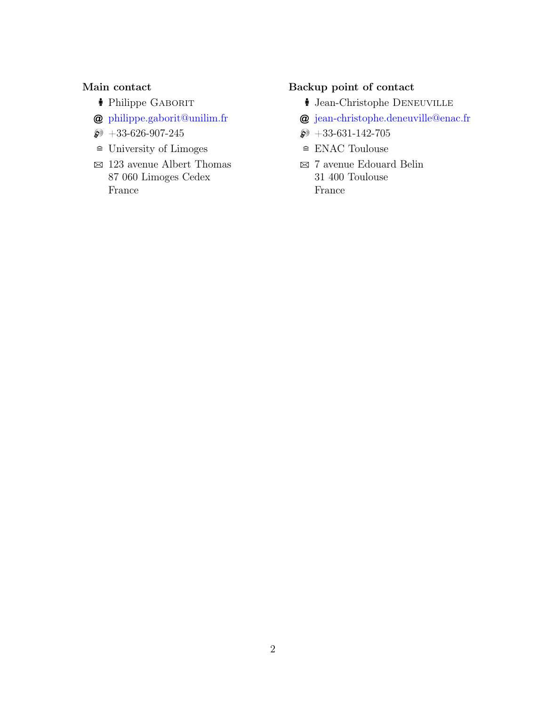### Main contact

- <sup>•</sup> Philippe GABORIT
- @ [philippe.gaborit@unilim.fr](mailto:philippe.gaborit@unilim.fr)
- $\circledast$  +33-626-907-245
- $\widehat{=}$  University of Limoges
- $\boxtimes$  123 avenue Albert Thomas 87 060 Limoges Cedex France

## Backup point of contact

- **i** Jean-Christophe DENEUVILLE
- @ [jean-christophe.deneuville@enac.fr](mailto:jean-christophe.deneuville@enac.fr)
- $\circledast$  +33-631-142-705
- $\cong$  ENAC Toulouse
- $\boxtimes$  7 avenue Edouard Belin 31 400 Toulouse France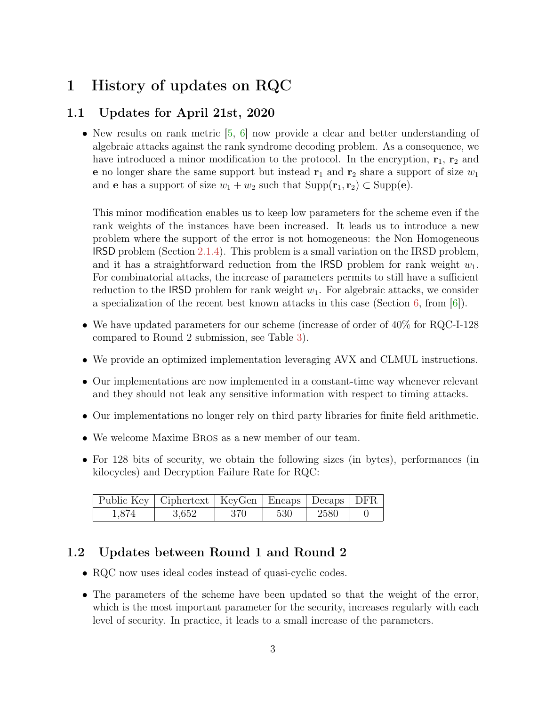## <span id="page-2-3"></span><span id="page-2-0"></span>1 History of updates on RQC

## <span id="page-2-1"></span>1.1 Updates for April 21st, 2020

• New results on rank metric  $[5, 6]$  $[5, 6]$  $[5, 6]$  now provide a clear and better understanding of algebraic attacks against the rank syndrome decoding problem. As a consequence, we have introduced a minor modification to the protocol. In the encryption,  $r_1$ ,  $r_2$  and **e** no longer share the same support but instead  $\mathbf{r}_1$  and  $\mathbf{r}_2$  share a support of size  $w_1$ and **e** has a support of size  $w_1 + w_2$  such that  $\text{Supp}(\mathbf{r}_1, \mathbf{r}_2) \subset \text{Supp}(\mathbf{e})$ .

This minor modification enables us to keep low parameters for the scheme even if the rank weights of the instances have been increased. It leads us to introduce a new problem where the support of the error is not homogeneous: the Non Homogeneous IRSD problem (Section [2.1.4\)](#page-13-0). This problem is a small variation on the IRSD problem, and it has a straightforward reduction from the IRSD problem for rank weight  $w_1$ . For combinatorial attacks, the increase of parameters permits to still have a sufficient reduction to the IRSD problem for rank weight  $w_1$ . For algebraic attacks, we consider a specialization of the recent best known attacks in this case (Section [6,](#page-28-0) from [\[6\]](#page-35-1)).

- We have updated parameters for our scheme (increase of order of  $40\%$  for RQC-I-128 compared to Round 2 submission, see Table [3\)](#page-23-0).
- We provide an optimized implementation leveraging AVX and CLMUL instructions.
- Our implementations are now implemented in a constant-time way whenever relevant and they should not leak any sensitive information with respect to timing attacks.
- Our implementations no longer rely on third party libraries for finite field arithmetic.
- We welcome Maxime Bros as a new member of our team.
- For 128 bits of security, we obtain the following sizes (in bytes), performances (in kilocycles) and Decryption Failure Rate for RQC:

| Public Key   Ciphertext   KeyGen   Encaps   Decaps   DFR |       |      |     |      |  |
|----------------------------------------------------------|-------|------|-----|------|--|
| 1,874                                                    | 3.652 | -370 | 530 | 2580 |  |

### <span id="page-2-2"></span>1.2 Updates between Round 1 and Round 2

- RQC now uses ideal codes instead of quasi-cyclic codes.
- The parameters of the scheme have been updated so that the weight of the error, which is the most important parameter for the security, increases regularly with each level of security. In practice, it leads to a small increase of the parameters.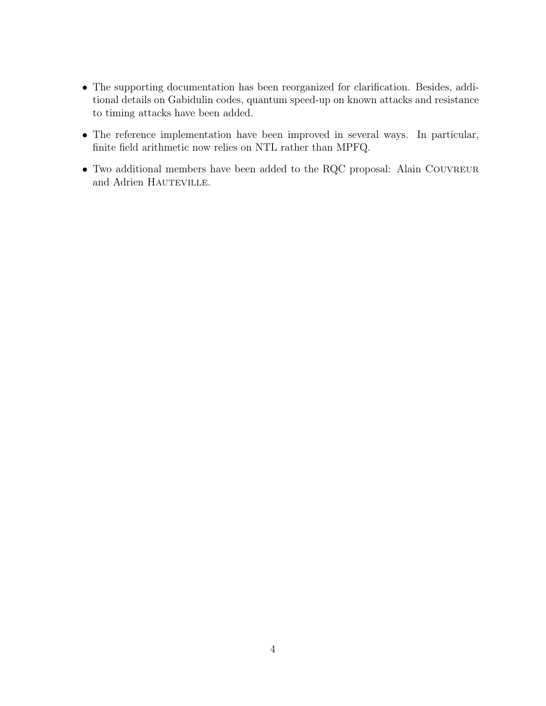- The supporting documentation has been reorganized for clarification. Besides, additional details on Gabidulin codes, quantum speed-up on known attacks and resistance to timing attacks have been added.
- The reference implementation have been improved in several ways. In particular, finite field arithmetic now relies on NTL rather than MPFQ.
- Two additional members have been added to the RQC proposal: Alain COUVREUR and Adrien HAUTEVILLE.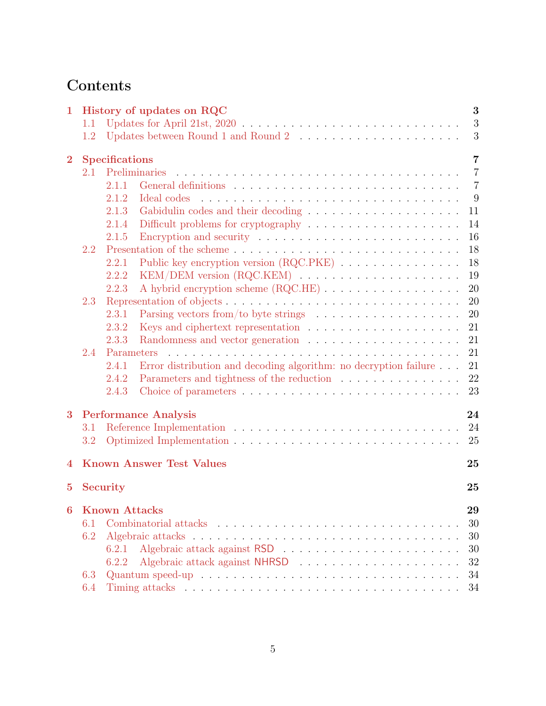# Contents

| $\mathbf{1}$   |     | 3<br>History of updates on RQC                                                                                                                                                                                                       |
|----------------|-----|--------------------------------------------------------------------------------------------------------------------------------------------------------------------------------------------------------------------------------------|
|                | 1.1 | 3                                                                                                                                                                                                                                    |
|                | 1.2 | 3<br>Updates between Round 1 and Round 2 $\ldots \ldots \ldots \ldots \ldots \ldots \ldots$                                                                                                                                          |
| $\bf{2}$       |     | <b>Specifications</b><br>$\overline{7}$                                                                                                                                                                                              |
|                | 2.1 | Preliminaries<br>$\overline{7}$                                                                                                                                                                                                      |
|                |     | $\overline{7}$<br>2.1.1                                                                                                                                                                                                              |
|                |     | 9<br>2.1.2<br>Ideal codes                                                                                                                                                                                                            |
|                |     | 11<br>2.1.3                                                                                                                                                                                                                          |
|                |     | 14<br>2.1.4                                                                                                                                                                                                                          |
|                |     | 16<br>2.1.5                                                                                                                                                                                                                          |
|                | 2.2 | 18                                                                                                                                                                                                                                   |
|                |     | Public key encryption version (RQC.PKE)<br>18<br>2.2.1                                                                                                                                                                               |
|                |     | 19<br>2.2.2                                                                                                                                                                                                                          |
|                |     | 20<br>A hybrid encryption scheme (RQC.HE)<br>2.2.3                                                                                                                                                                                   |
|                | 2.3 | 20                                                                                                                                                                                                                                   |
|                |     | Parsing vectors from/to byte strings $\dots \dots \dots \dots \dots \dots$<br>20<br>2.3.1                                                                                                                                            |
|                |     | 21<br>2.3.2                                                                                                                                                                                                                          |
|                |     | 21<br>2.3.3                                                                                                                                                                                                                          |
|                | 2.4 | 21<br>Parameters                                                                                                                                                                                                                     |
|                |     | Error distribution and decoding algorithm: no decryption failure<br>21<br>2.4.1                                                                                                                                                      |
|                |     | 22<br>2.4.2                                                                                                                                                                                                                          |
|                |     | 23<br>2.4.3                                                                                                                                                                                                                          |
| 3              |     | <b>Performance Analysis</b><br>24                                                                                                                                                                                                    |
|                | 3.1 | 24                                                                                                                                                                                                                                   |
|                | 3.2 | 25                                                                                                                                                                                                                                   |
|                |     |                                                                                                                                                                                                                                      |
| 4              |     | <b>Known Answer Test Values</b><br>25                                                                                                                                                                                                |
| $\overline{5}$ |     | <b>Security</b><br>25                                                                                                                                                                                                                |
| 6              |     | <b>Known Attacks</b><br>29                                                                                                                                                                                                           |
|                | 6.1 | Combinatorial attacks response in the contract of the contract of the contract of the contract of the contract of the contract of the contract of the contract of the contract of the contract of the contract of the contract<br>30 |
|                | 6.2 | 30                                                                                                                                                                                                                                   |
|                |     | 30<br>6.2.1                                                                                                                                                                                                                          |
|                |     | 32<br>6.2.2                                                                                                                                                                                                                          |
|                | 6.3 | 34                                                                                                                                                                                                                                   |
|                | 6.4 | Timing attacks in the contract of the contract of the contract of the contract of the contract of the contract of the contract of the contract of the contract of the contract of the contract of the contract of the contract<br>34 |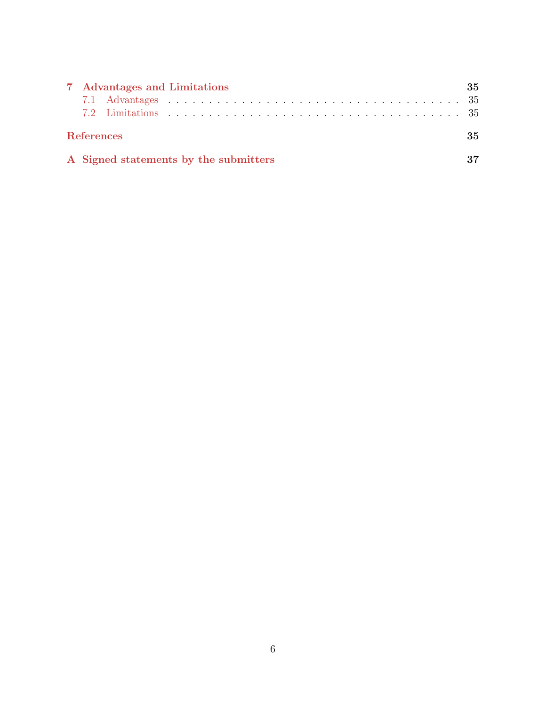| 7 Advantages and Limitations          | 35 |
|---------------------------------------|----|
|                                       |    |
|                                       |    |
| <b>References</b>                     | 35 |
| A Signed statements by the submitters | 37 |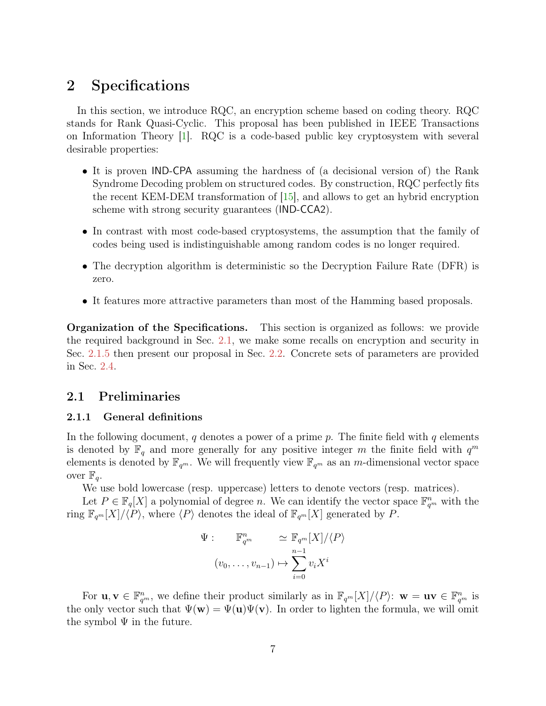## <span id="page-6-3"></span><span id="page-6-0"></span>2 Specifications

In this section, we introduce RQC, an encryption scheme based on coding theory. RQC stands for Rank Quasi-Cyclic. This proposal has been published in IEEE Transactions on Information Theory [\[1\]](#page-34-3). RQC is a code-based public key cryptosystem with several desirable properties:

- It is proven IND-CPA assuming the hardness of (a decisional version of) the Rank Syndrome Decoding problem on structured codes. By construction, RQC perfectly fits the recent KEM-DEM transformation of [\[15\]](#page-36-1), and allows to get an hybrid encryption scheme with strong security guarantees (IND-CCA2).
- In contrast with most code-based cryptosystems, the assumption that the family of codes being used is indistinguishable among random codes is no longer required.
- The decryption algorithm is deterministic so the Decryption Failure Rate (DFR) is zero.
- It features more attractive parameters than most of the Hamming based proposals.

Organization of the Specifications. This section is organized as follows: we provide the required background in Sec. [2.1,](#page-6-1) we make some recalls on encryption and security in Sec. [2.1.5](#page-15-0) then present our proposal in Sec. [2.2.](#page-17-0) Concrete sets of parameters are provided in Sec. [2.4.](#page-20-2)

### <span id="page-6-1"></span>2.1 Preliminaries

#### <span id="page-6-2"></span>2.1.1 General definitions

In the following document, q denotes a power of a prime p. The finite field with q elements is denoted by  $\mathbb{F}_q$  and more generally for any positive integer m the finite field with  $q^m$ elements is denoted by  $\mathbb{F}_{q^m}$ . We will frequently view  $\mathbb{F}_{q^m}$  as an m-dimensional vector space over  $\mathbb{F}_q$ .

We use bold lowercase (resp. uppercase) letters to denote vectors (resp. matrices).

Let  $P \in \mathbb{F}_q[X]$  a polynomial of degree *n*. We can identify the vector space  $\mathbb{F}_{q^m}^n$  with the ring  $\mathbb{F}_{q^m}[X]/\langle P\rangle$ , where  $\langle P\rangle$  denotes the ideal of  $\mathbb{F}_{q^m}[X]$  generated by P.

$$
\Psi: \mathbb{F}_{q^m}^n \simeq \mathbb{F}_{q^m}[X]/\langle P \rangle
$$

$$
(v_0, \dots, v_{n-1}) \mapsto \sum_{i=0}^{n-1} v_i X^i
$$

For  $\mathbf{u}, \mathbf{v} \in \mathbb{F}_{q^m}^n$ , we define their product similarly as in  $\mathbb{F}_{q^m}[X]/\langle P \rangle: \mathbf{w} = \mathbf{u}\mathbf{v} \in \mathbb{F}_{q^m}^n$  is the only vector such that  $\Psi(\mathbf{w}) = \Psi(\mathbf{u})\Psi(\mathbf{v})$ . In order to lighten the formula, we will omit the symbol  $\Psi$  in the future.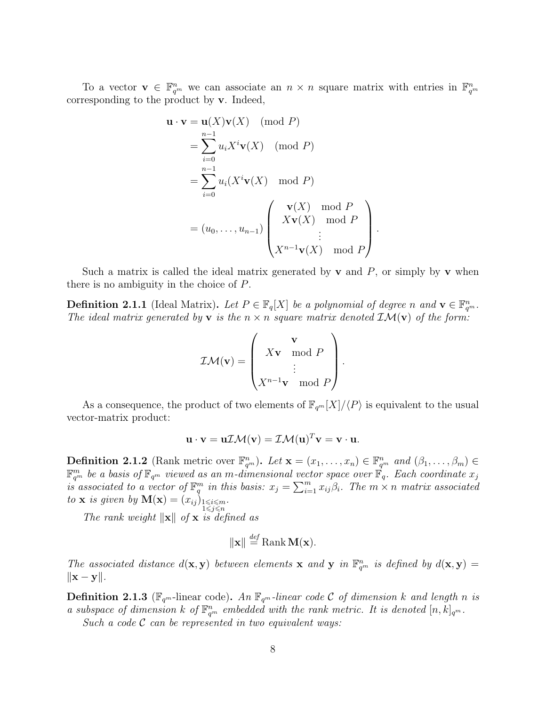To a vector  $\mathbf{v} \in \mathbb{F}_{q^m}^n$  we can associate an  $n \times n$  square matrix with entries in  $\mathbb{F}_{q^m}^n$ corresponding to the product by v. Indeed,

$$
\mathbf{u} \cdot \mathbf{v} = \mathbf{u}(X)\mathbf{v}(X) \pmod{P}
$$
  
\n
$$
= \sum_{i=0}^{n-1} u_i X^i \mathbf{v}(X) \pmod{P}
$$
  
\n
$$
= \sum_{i=0}^{n-1} u_i (X^i \mathbf{v}(X) \mod P)
$$
  
\n
$$
= (u_0, \dots, u_{n-1}) \begin{pmatrix} \mathbf{v}(X) \mod P \\ X\mathbf{v}(X) \mod P \\ \vdots \\ X^{n-1}\mathbf{v}(X) \mod P \end{pmatrix}
$$

.

Such a matrix is called the ideal matrix generated by **v** and  $P$ , or simply by **v** when there is no ambiguity in the choice of P.

**Definition 2.1.1** (Ideal Matrix). Let  $P \in \mathbb{F}_q[X]$  be a polynomial of degree n and  $\mathbf{v} \in \mathbb{F}_{q^m}^n$ . The ideal matrix generated by **v** is the  $n \times n$  square matrix denoted  $\mathcal{IM}(\mathbf{v})$  of the form:

$$
\mathcal{IM}(\mathbf{v}) = \begin{pmatrix} \mathbf{v} \\ X\mathbf{v} \mod P \\ \vdots \\ X^{n-1}\mathbf{v} \mod P \end{pmatrix}.
$$

As a consequence, the product of two elements of  $\mathbb{F}_{q^m}[X]/\langle P\rangle$  is equivalent to the usual vector-matrix product:

$$
\mathbf{u} \cdot \mathbf{v} = \mathbf{u} \mathcal{I} \mathcal{M}(\mathbf{v}) = \mathcal{I} \mathcal{M}(\mathbf{u})^T \mathbf{v} = \mathbf{v} \cdot \mathbf{u}.
$$

**Definition 2.1.2** (Rank metric over  $\mathbb{F}_{q^m}^n$ ). Let  $\mathbf{x} = (x_1, \ldots, x_n) \in \mathbb{F}_{q^m}^n$  and  $(\beta_1, \ldots, \beta_m) \in$  $\mathbb{F}_{q^m}^m$  be a basis of  $\mathbb{F}_{q^m}$  viewed as an m-dimensional vector space over  $\mathbb{F}_q$ . Each coordinate  $x_j$ is associated to a vector of  $\mathbb{F}_q^m$  in this basis:  $x_j = \sum_{i=1}^m x_{ij}\beta_i$ . The  $m \times n$  matrix associated to **x** is given by  $\mathbf{M}(\mathbf{x}) = (x_{ij})_{\substack{1 \le i \le m \\ 1 \le j \le n}}$ .

The rank weight  $\|\mathbf{x}\|$  of x is defined as

$$
\|\mathbf{x}\| \stackrel{\text{def}}{=} \text{Rank } \mathbf{M}(\mathbf{x}).
$$

The associated distance  $d(\mathbf{x}, \mathbf{y})$  between elements **x** and **y** in  $\mathbb{F}_{q^m}^n$  is defined by  $d(\mathbf{x}, \mathbf{y}) =$  $\|\mathbf{x} - \mathbf{y}\|$ .

**Definition 2.1.3** ( $\mathbb{F}_{q^m}$ -linear code). An  $\mathbb{F}_{q^m}$ -linear code C of dimension k and length n is a subspace of dimension k of  $\mathbb{F}_{q^m}^n$  embedded with the rank metric. It is denoted  $[n, k]_{q^m}$ . Such a code  $\mathcal C$  can be represented in two equivalent ways:

8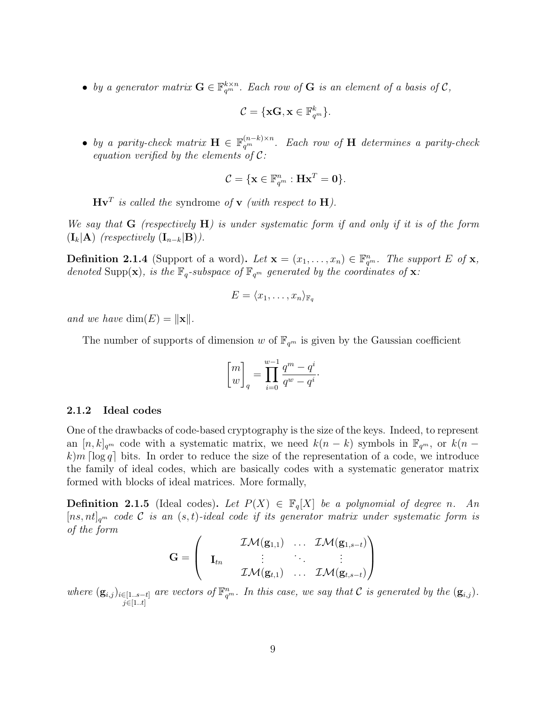• by a generator matrix  $\mathbf{G} \in \mathbb{F}_{q^m}^{k \times n}$ . Each row of  $\mathbf{G}$  is an element of a basis of  $\mathcal{C}$ ,

$$
\mathcal{C} = \{\mathbf{xG}, \mathbf{x} \in \mathbb{F}_{q^m}^k\}.
$$

• by a parity-check matrix  $\mathbf{H} \in \mathbb{F}_{q^m}^{(n-k)\times n}$ . Each row of  $\mathbf{H}$  determines a parity-check equation verified by the elements of  $\mathcal{C}$ :

$$
\mathcal{C} = \{ \mathbf{x} \in \mathbb{F}_{q^m}^n : \mathbf{Hx}^T = \mathbf{0} \}.
$$

 $\mathbf{Hv}^T$  is called the syndrome of **v** (with respect to **H**).

We say that  $G$  (respectively  $H$ ) is under systematic form if and only if it is of the form  $(I_k|A)$  (respectively  $(I_{n-k}|B)$ ).

**Definition 2.1.4** (Support of a word). Let  $\mathbf{x} = (x_1, \ldots, x_n) \in \mathbb{F}_{q^m}^n$ . The support E of  $\mathbf{x}$ , denoted Supp(x), is the  $\mathbb{F}_q$ -subspace of  $\mathbb{F}_{q^m}$  generated by the coordinates of x:

$$
E = \langle x_1, \ldots, x_n \rangle_{\mathbb{F}_q}
$$

and we have  $\dim(E) = ||\mathbf{x}||$ .

The number of supports of dimension w of  $\mathbb{F}_{q^m}$  is given by the Gaussian coefficient

$$
\begin{bmatrix} m \\ w \end{bmatrix}_q = \prod_{i=0}^{w-1} \frac{q^m - q^i}{q^w - q^i}.
$$

#### <span id="page-8-0"></span>2.1.2 Ideal codes

One of the drawbacks of code-based cryptography is the size of the keys. Indeed, to represent an  $[n, k]_{q^m}$  code with a systematic matrix, we need  $k(n - k)$  symbols in  $\mathbb{F}_{q^m}$ , or  $k(n - k)$  $k\$ im  $\lceil \log q \rceil$  bits. In order to reduce the size of the representation of a code, we introduce the family of ideal codes, which are basically codes with a systematic generator matrix formed with blocks of ideal matrices. More formally,

<span id="page-8-1"></span>**Definition 2.1.5** (Ideal codes). Let  $P(X) \in \mathbb{F}_q[X]$  be a polynomial of degree n. An  $[ns, nt]_{q^m}$  code C is an  $(s, t)$ -ideal code if its generator matrix under systematic form is of the form

$$
\mathbf{G} = \left(\begin{array}{ccc} & \mathcal{IM}(\mathbf{g}_{1,1}) & \ldots & \mathcal{IM}(\mathbf{g}_{1,s-t}) \\ \mathbf{I}_{tn} & \vdots & \ddots & \vdots \\ & \mathcal{IM}(\mathbf{g}_{t,1}) & \ldots & \mathcal{IM}(\mathbf{g}_{t,s-t}) \end{array}\right)
$$

where  $(g_{i,j})_{i\in[1..s-t]}$  are vectors of  $\mathbb{F}_{q^m}^n$ . In this case, we say that C is generated by the  $(g_{i,j})$ .  $j \in [1..t]$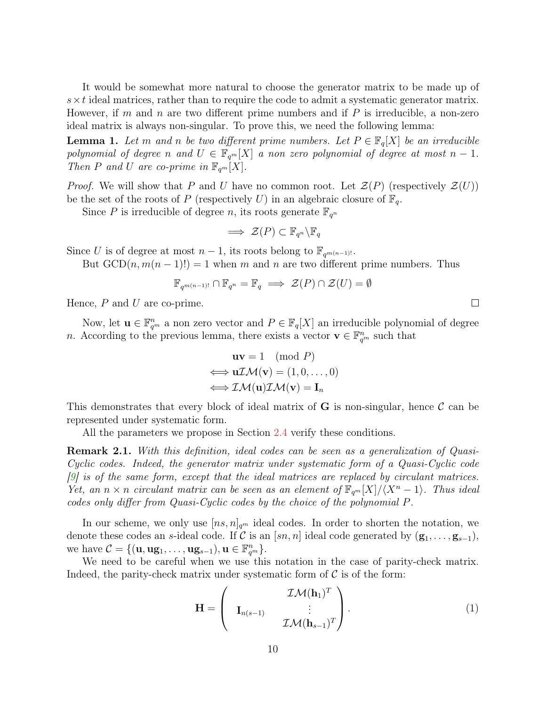<span id="page-9-1"></span>It would be somewhat more natural to choose the generator matrix to be made up of  $s \times t$  ideal matrices, rather than to require the code to admit a systematic generator matrix. However, if m and n are two different prime numbers and if  $P$  is irreducible, a non-zero ideal matrix is always non-singular. To prove this, we need the following lemma:

**Lemma 1.** Let m and n be two different prime numbers. Let  $P \in \mathbb{F}_q[X]$  be an irreducible polynomial of degree n and  $U \in \mathbb{F}_{q^m}[X]$  a non zero polynomial of degree at most  $n-1$ . Then P and U are co-prime in  $\mathbb{F}_{q^m}[X]$ .

*Proof.* We will show that P and U have no common root. Let  $\mathcal{Z}(P)$  (respectively  $\mathcal{Z}(U)$ ) be the set of the roots of P (respectively U) in an algebraic closure of  $\mathbb{F}_q$ .

Since P is irreducible of degree n, its roots generate  $\mathbb{F}_{q^n}$ 

$$
\implies \mathcal{Z}(P) \subset \mathbb{F}_{q^n} \backslash \mathbb{F}_q
$$

Since U is of degree at most  $n-1$ , its roots belong to  $\mathbb{F}_{q^{m(n-1)!}}$ .

But  $GCD(n, m(n-1)!)=1$  when m and n are two different prime numbers. Thus

$$
\mathbb{F}_{q^{m(n-1)!}} \cap \mathbb{F}_{q^n} = \mathbb{F}_q \implies \mathcal{Z}(P) \cap \mathcal{Z}(U) = \emptyset
$$

Hence,  $P$  and  $U$  are co-prime.

Now, let  $\mathbf{u} \in \mathbb{F}_{q^m}^n$  a non zero vector and  $P \in \mathbb{F}_q[X]$  an irreducible polynomial of degree *n*. According to the previous lemma, there exists a vector  $\mathbf{v} \in \mathbb{F}_{q^m}^n$  such that

$$
\mathbf{u}\mathbf{v} = 1 \pmod{P}
$$

$$
\iff \mathbf{u}\mathcal{I}\mathcal{M}(\mathbf{v}) = (1, 0, \dots, 0)
$$

$$
\iff \mathcal{I}\mathcal{M}(\mathbf{u})\mathcal{I}\mathcal{M}(\mathbf{v}) = \mathbf{I}_n
$$

This demonstrates that every block of ideal matrix of  $G$  is non-singular, hence  $\mathcal C$  can be represented under systematic form.

All the parameters we propose in Section [2.4](#page-20-2) verify these conditions.

Remark 2.1. With this definition, ideal codes can be seen as a generalization of Quasi-Cyclic codes. Indeed, the generator matrix under systematic form of a Quasi-Cyclic code [\[9\]](#page-35-2) is of the same form, except that the ideal matrices are replaced by circulant matrices. Yet, an  $n \times n$  circulant matrix can be seen as an element of  $\mathbb{F}_{q^m}[X]/\langle X^n - 1 \rangle$ . Thus ideal codes only differ from Quasi-Cyclic codes by the choice of the polynomial P.

In our scheme, we only use  $[n_s, n]_{q^m}$  ideal codes. In order to shorten the notation, we denote these codes an s-ideal code. If C is an  $[sn, n]$  ideal code generated by  $(\mathbf{g}_1, \ldots, \mathbf{g}_{s-1}),$ we have  $C = \{(\mathbf{u}, \mathbf{u}\mathbf{g}_1, \dots, \mathbf{u}\mathbf{g}_{s-1}), \mathbf{u} \in \mathbb{F}_{q^m}^n\}.$ 

We need to be careful when we use this notation in the case of parity-check matrix. Indeed, the parity-check matrix under systematic form of  $\mathcal C$  is of the form:

<span id="page-9-0"></span>
$$
\mathbf{H} = \begin{pmatrix} \mathcal{IM}(\mathbf{h}_1)^T \\ \mathbf{I}_{n(s-1)} & \vdots \\ \mathcal{IM}(\mathbf{h}_{s-1})^T \end{pmatrix} .
$$
 (1)

 $\Box$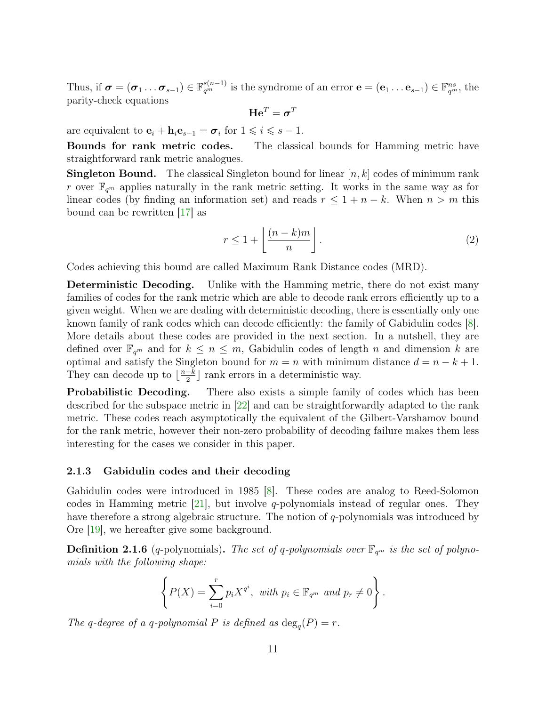<span id="page-10-1"></span>Thus, if  $\boldsymbol{\sigma} = (\boldsymbol{\sigma}_1 \dots \boldsymbol{\sigma}_{s-1}) \in \mathbb{F}_{q^m}^{s(n-1)}$  is the syndrome of an error  $\mathbf{e} = (\mathbf{e}_1 \dots \mathbf{e}_{s-1}) \in \mathbb{F}_{q^m}^{ns}$ , the parity-check equations

$$
\mathbf{He}^T = \boldsymbol{\sigma}^T
$$

are equivalent to  $\mathbf{e}_i + \mathbf{h}_i \mathbf{e}_{s-1} = \boldsymbol{\sigma}_i$  for  $1 \leq i \leq s - 1$ .

Bounds for rank metric codes. The classical bounds for Hamming metric have straightforward rank metric analogues.

**Singleton Bound.** The classical Singleton bound for linear  $[n, k]$  codes of minimum rank r over  $\mathbb{F}_{q^m}$  applies naturally in the rank metric setting. It works in the same way as for linear codes (by finding an information set) and reads  $r \leq 1 + n - k$ . When  $n > m$  this bound can be rewritten [\[17\]](#page-36-2) as

$$
r \le 1 + \left\lfloor \frac{(n-k)m}{n} \right\rfloor. \tag{2}
$$

Codes achieving this bound are called Maximum Rank Distance codes (MRD).

Deterministic Decoding. Unlike with the Hamming metric, there do not exist many families of codes for the rank metric which are able to decode rank errors efficiently up to a given weight. When we are dealing with deterministic decoding, there is essentially only one known family of rank codes which can decode efficiently: the family of Gabidulin codes [\[8\]](#page-35-3). More details about these codes are provided in the next section. In a nutshell, they are defined over  $\mathbb{F}_{q^m}$  and for  $k \leq n \leq m$ , Gabidulin codes of length n and dimension k are optimal and satisfy the Singleton bound for  $m = n$  with minimum distance  $d = n - k + 1$ . They can decode up to  $\lfloor \frac{n-k}{2} \rfloor$  $\frac{-k}{2}$  rank errors in a deterministic way.

**Probabilistic Decoding.** There also exists a simple family of codes which has been described for the subspace metric in [\[22\]](#page-36-3) and can be straightforwardly adapted to the rank metric. These codes reach asymptotically the equivalent of the Gilbert-Varshamov bound for the rank metric, however their non-zero probability of decoding failure makes them less interesting for the cases we consider in this paper.

#### <span id="page-10-0"></span>2.1.3 Gabidulin codes and their decoding

Gabidulin codes were introduced in 1985 [\[8\]](#page-35-3). These codes are analog to Reed-Solomon codes in Hamming metric  $[21]$ , but involve q-polynomials instead of regular ones. They have therefore a strong algebraic structure. The notion of  $q$ -polynomials was introduced by Ore [\[19\]](#page-36-5), we hereafter give some background.

**Definition 2.1.6** (q-polynomials). The set of q-polynomials over  $\mathbb{F}_{q^m}$  is the set of polynomials with the following shape:

$$
\left\{ P(X) = \sum_{i=0}^{r} p_i X^{q^i}, \text{ with } p_i \in \mathbb{F}_{q^m} \text{ and } p_r \neq 0 \right\}.
$$

The q-degree of a q-polynomial P is defined as  $\deg_q(P) = r$ .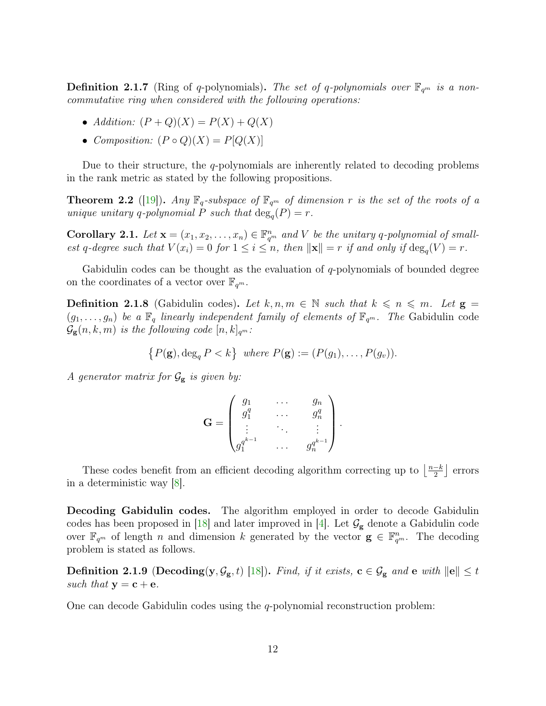<span id="page-11-1"></span>**Definition 2.1.7** (Ring of q-polynomials). The set of q-polynomials over  $\mathbb{F}_{q^m}$  is a noncommutative ring when considered with the following operations:

- Addition:  $(P+Q)(X) = P(X) + Q(X)$
- Composition:  $(P \circ Q)(X) = P[Q(X)]$

Due to their structure, the  $q$ -polynomials are inherently related to decoding problems in the rank metric as stated by the following propositions.

**Theorem 2.2** ([\[19\]](#page-36-5)). Any  $\mathbb{F}_q$ -subspace of  $\mathbb{F}_{q^m}$  of dimension r is the set of the roots of a unique unitary q-polynomial P such that  $\deg_q(P) = r$ .

**Corollary 2.1.** Let  $\mathbf{x} = (x_1, x_2, \dots, x_n) \in \mathbb{F}_{q^m}^n$  and V be the unitary q-polynomial of smallest q-degree such that  $V(x_i) = 0$  for  $1 \leq i \leq n$ , then  $\|\mathbf{x}\| = r$  if and only if  $\deg_q(V) = r$ .

Gabidulin codes can be thought as the evaluation of q-polynomials of bounded degree on the coordinates of a vector over  $\mathbb{F}_{q^m}$ .

<span id="page-11-0"></span>**Definition 2.1.8** (Gabidulin codes). Let  $k, n, m \in \mathbb{N}$  such that  $k \leq n \leq m$ . Let  $g =$  $(g_1, \ldots, g_n)$  be a  $\mathbb{F}_q$  linearly independent family of elements of  $\mathbb{F}_{q^m}$ . The Gabidulin code  $\mathcal{G}_{g}(n, k, m)$  is the following code  $[n, k]_{q^m}$ :

 $\{P(\mathbf{g}), \deg_q P < k\}$  where  $P(\mathbf{g}) := (P(g_1), \ldots, P(g_v)).$ 

A generator matrix for  $\mathcal{G}_{g}$  is given by:

$$
\mathbf{G} = \begin{pmatrix} g_1 & \cdots & g_n \\ g_1^q & \cdots & g_n^q \\ \vdots & \ddots & \vdots \\ g_1^{q^{k-1}} & \cdots & g_n^{q^{k-1}} \end{pmatrix}.
$$

These codes benefit from an efficient decoding algorithm correcting up to  $\frac{n-k}{2}$  $\frac{-k}{2}$  errors in a deterministic way [\[8\]](#page-35-3).

Decoding Gabidulin codes. The algorithm employed in order to decode Gabidulin codes has been proposed in [\[18\]](#page-36-6) and later improved in [\[4\]](#page-34-4). Let  $\mathcal{G}_{g}$  denote a Gabidulin code over  $\mathbb{F}_{q^m}$  of length n and dimension k generated by the vector  $\mathbf{g} \in \mathbb{F}_{q^m}^n$ . The decoding problem is stated as follows.

Definition 2.1.9 (Decoding(y,  $\mathcal{G}_{g}$ , t) [\[18\]](#page-36-6)). Find, if it exists,  $c \in \mathcal{G}_{g}$  and e with  $||e|| \leq t$ such that  $y = c + e$ .

One can decode Gabidulin codes using the q-polynomial reconstruction problem: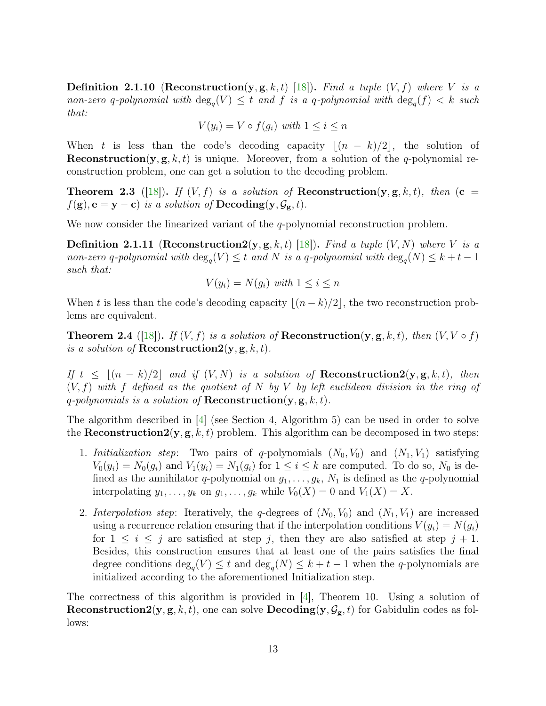<span id="page-12-0"></span>**Definition 2.1.10** (Reconstruction(y, g, k, t) [\[18\]](#page-36-6)). Find a tuple  $(V, f)$  where V is a non-zero q-polynomial with  $\deg_q(V) \leq t$  and f is a q-polynomial with  $\deg_q(f) < k$  such that:

$$
V(y_i) = V \circ f(g_i) \text{ with } 1 \le i \le n
$$

When t is less than the code's decoding capacity  $|(n - k)/2|$ , the solution of **Reconstruction**(y, g, k, t) is unique. Moreover, from a solution of the q-polynomial reconstruction problem, one can get a solution to the decoding problem.

**Theorem 2.3** ([\[18\]](#page-36-6)). If  $(V, f)$  is a solution of **Reconstruction** $(y, g, k, t)$ , then  $(c =$  $f(\mathbf{g}), \mathbf{e} = \mathbf{y} - \mathbf{c}$  is a solution of  $\mathbf{Decoding}(\mathbf{y}, \mathcal{G}_{\mathbf{g}}, t)$ .

We now consider the linearized variant of the q-polynomial reconstruction problem.

**Definition 2.1.11** (Reconstruction 2(y, g, k, t) [\[18\]](#page-36-6)). Find a tuple  $(V, N)$  where V is a non-zero q-polynomial with  $\deg_q(V) \leq t$  and N is a q-polynomial with  $\deg_q(N) \leq k + t - 1$ such that:

$$
V(y_i) = N(g_i) \text{ with } 1 \le i \le n
$$

When t is less than the code's decoding capacity  $|(n - k)/2|$ , the two reconstruction problems are equivalent.

**Theorem 2.4** ([\[18\]](#page-36-6)). If  $(V, f)$  is a solution of **Reconstruction** $(y, g, k, t)$ , then  $(V, V \circ f)$ is a solution of **Reconstruction 2**( $y, g, k, t$ ).

If  $t \leq (n - k)/2$  and if  $(V, N)$  is a solution of **Reconstruction2**(y, g, k, t), then  $(V, f)$  with f defined as the quotient of N by V by left euclidean division in the ring of q-polynomials is a solution of **Reconstruction** $(y, g, k, t)$ .

The algorithm described in [\[4\]](#page-34-4) (see Section 4, Algorithm 5) can be used in order to solve the **Reconstruction 2** $(y, g, k, t)$  problem. This algorithm can be decomposed in two steps:

- 1. Initialization step: Two pairs of q-polynomials  $(N_0, V_0)$  and  $(N_1, V_1)$  satisfying  $V_0(y_i) = N_0(g_i)$  and  $V_1(y_i) = N_1(g_i)$  for  $1 \leq i \leq k$  are computed. To do so,  $N_0$  is defined as the annihilator q-polynomial on  $g_1, \ldots, g_k, N_1$  is defined as the q-polynomial interpolating  $y_1, \ldots, y_k$  on  $g_1, \ldots, g_k$  while  $V_0(X) = 0$  and  $V_1(X) = X$ .
- 2. Interpolation step: Iteratively, the q-degrees of  $(N_0, V_0)$  and  $(N_1, V_1)$  are increased using a recurrence relation ensuring that if the interpolation conditions  $V(y_i) = N(q_i)$ for  $1 \leq i \leq j$  are satisfied at step j, then they are also satisfied at step  $j + 1$ . Besides, this construction ensures that at least one of the pairs satisfies the final degree conditions  $\deg_q(V) \leq t$  and  $\deg_q(N) \leq k + t - 1$  when the q-polynomials are initialized according to the aforementioned Initialization step.

The correctness of this algorithm is provided in [\[4\]](#page-34-4), Theorem 10. Using a solution of **Reconstruction2**(y, g, k, t), one can solve **Decoding**(y,  $\mathcal{G}_{g}$ , t) for Gabidulin codes as follows: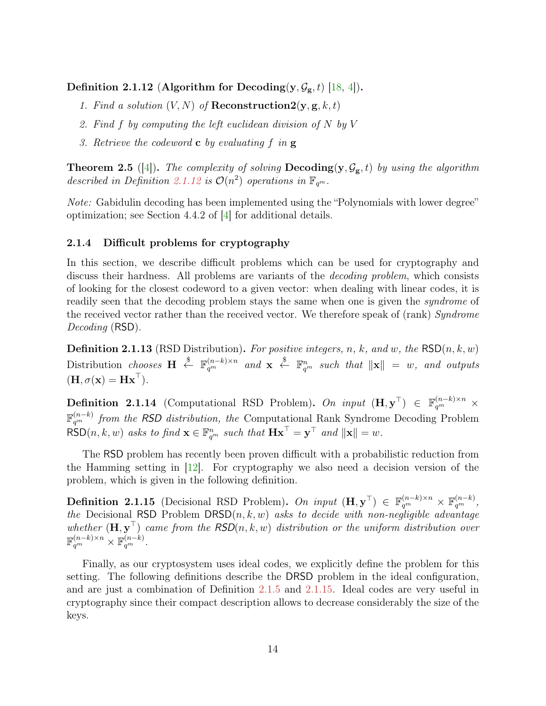<span id="page-13-4"></span><span id="page-13-1"></span>Definition 2.1.12 (Algorithm for Decoding(y,  $\mathcal{G}_{g}$ , t) [\[18,](#page-36-6) [4\]](#page-34-4)).

- 1. Find a solution  $(V, N)$  of **Reconstruction 2** $(\mathbf{y}, \mathbf{g}, k, t)$
- 2. Find f by computing the left euclidean division of N by V
- 3. Retrieve the codeword  $\bf{c}$  by evaluating f in  $\bf{g}$

**Theorem 2.5** ([\[4\]](#page-34-4)). The complexity of solving  $\bf{Decoding}(y, \mathcal{G}_{g}, t)$  by using the algorithm described in Definition [2.1.12](#page-13-1) is  $\mathcal{O}(n^2)$  operations in  $\mathbb{F}_{q^m}$ .

Note: Gabidulin decoding has been implemented using the "Polynomials with lower degree" optimization; see Section 4.4.2 of [\[4\]](#page-34-4) for additional details.

#### <span id="page-13-0"></span>2.1.4 Difficult problems for cryptography

In this section, we describe difficult problems which can be used for cryptography and discuss their hardness. All problems are variants of the decoding problem, which consists of looking for the closest codeword to a given vector: when dealing with linear codes, it is readily seen that the decoding problem stays the same when one is given the *syndrome* of the received vector rather than the received vector. We therefore speak of (rank) Syndrome Decoding (RSD).

**Definition 2.1.13** (RSD Distribution). For positive integers, n, k, and w, the  $\text{RSD}(n, k, w)$ Distribution chooses  $\mathbf{H} \stackrel{\$}{\leftarrow} \mathbb{F}_{q^m}^{(n-k)\times n}$  and  $\mathbf{x} \stackrel{\$}{\leftarrow} \mathbb{F}_{q^m}^n$  such that  $\|\mathbf{x}\| = w$ , and outputs  $(\mathbf{H}, \sigma(\mathbf{x}) = \mathbf{H}\mathbf{x}^{\top}).$ 

<span id="page-13-3"></span>**Definition 2.1.14** (Computational RSD Problem). On input  $(\mathbf{H}, \mathbf{y}^{\top}) \in \mathbb{F}_{q^m}^{(n-k)\times n}$  x  $\mathbb{F}_{q^m}^{(n-k)}$  from the RSD distribution, the Computational Rank Syndrome Decoding Problem  $\mathsf{RSD}(n, k, w)$  asks to find  $\mathbf{x} \in \mathbb{F}_{q^m}^n$  such that  $\mathbf{Hx}^{\top} = \mathbf{y}^{\top}$  and  $\|\mathbf{x}\| = w$ .

The RSD problem has recently been proven difficult with a probabilistic reduction from the Hamming setting in [\[12\]](#page-35-4). For cryptography we also need a decision version of the problem, which is given in the following definition.

<span id="page-13-2"></span>**Definition 2.1.15** (Decisional RSD Problem). On input  $(\mathbf{H}, \mathbf{y}^{\top}) \in \mathbb{F}_{q^m}^{(n-k)\times n} \times \mathbb{F}_{q^m}^{(n-k)},$ the Decisional RSD Problem  $DRSD(n, k, w)$  asks to decide with non-negligible advantage whether  $(\mathbf{H}, \mathbf{y}^{\top})$  came from the RSD $(n, k, w)$  distribution or the uniform distribution over  $\mathbb{F}_{q^m}^{(n-k)\times n} \times \mathbb{F}_{q^m}^{(n-k)}.$ 

Finally, as our cryptosystem uses ideal codes, we explicitly define the problem for this setting. The following definitions describe the DRSD problem in the ideal configuration, and are just a combination of Definition [2.1.5](#page-8-1) and [2.1.15.](#page-13-2) Ideal codes are very useful in cryptography since their compact description allows to decrease considerably the size of the keys.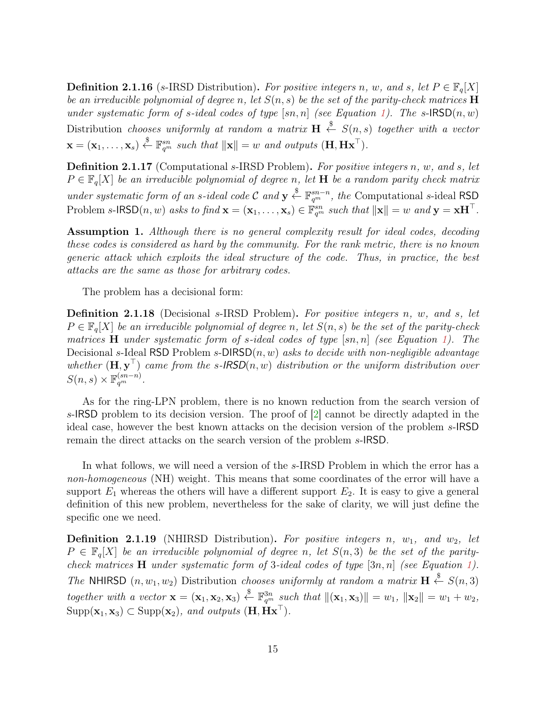<span id="page-14-1"></span>**Definition 2.1.16** (s-IRSD Distribution). For positive integers n, w, and s, let  $P \in \mathbb{F}_q[X]$ be an irreducible polynomial of degree n, let  $S(n, s)$  be the set of the parity-check matrices  $\bf H$ under systematic form of s-ideal codes of type  $[sn, n]$  (see Equation [1\)](#page-9-0). The s- $\text{RSD}(n, w)$ Distribution chooses uniformly at random a matrix  $\mathbf{H} \stackrel{\$}{\leftarrow} S(n,s)$  together with a vector  $\mathbf{x} = (\mathbf{x}_1, \dots, \mathbf{x}_s) \stackrel{\$}{\leftarrow} \mathbb{F}_{q^m}^{sn} \text{ such that } ||\mathbf{x}|| = w \text{ and outputs } (\mathbf{H}, \mathbf{H}\mathbf{x}^{\top}).$ 

Definition 2.1.17 (Computational s-IRSD Problem). For positive integers n, w, and s, let  $P \in \mathbb{F}_q[X]$  be an irreducible polynomial of degree n, let **H** be a random parity check matrix under systematic form of an s-ideal code C and  $y \stackrel{\$}{\leftarrow} \mathbb{F}_{q^m}^{sn-n}$ , the Computational s-ideal RSD Problem s-IRSD $(n, w)$  asks to find  $\mathbf{x} = (\mathbf{x}_1, \dots, \mathbf{x}_s) \in \mathbb{F}_{q^m}^{sn}$  such that  $\|\mathbf{x}\| = w$  and  $\mathbf{y} = \mathbf{x} \mathbf{H}^{\top}$ .

Assumption 1. Although there is no general complexity result for ideal codes, decoding these codes is considered as hard by the community. For the rank metric, there is no known generic attack which exploits the ideal structure of the code. Thus, in practice, the best attacks are the same as those for arbitrary codes.

The problem has a decisional form:

<span id="page-14-0"></span>Definition 2.1.18 (Decisional s-IRSD Problem). For positive integers n, w, and s, let  $P \in \mathbb{F}_q[X]$  be an irreducible polynomial of degree n, let  $S(n, s)$  be the set of the parity-check matrices  $H$  under systematic form of s-ideal codes of type  $[sn, n]$  (see Equation [1\)](#page-9-0). The Decisional s-Ideal RSD Problem s-DIRSD $(n, w)$  asks to decide with non-negligible advantage whether  $(\mathbf{H}, \mathbf{y}^{\top})$  came from the s-IRSD $(n, w)$  distribution or the uniform distribution over  $S(n,s) \times \mathbb{F}_{q^m}^{(sn-n)}$ .

As for the ring-LPN problem, there is no known reduction from the search version of s-IRSD problem to its decision version. The proof of [\[2\]](#page-34-5) cannot be directly adapted in the ideal case, however the best known attacks on the decision version of the problem s-IRSD remain the direct attacks on the search version of the problem s-IRSD.

In what follows, we will need a version of the s-IRSD Problem in which the error has a non-homogeneous (NH) weight. This means that some coordinates of the error will have a support  $E_1$  whereas the others will have a different support  $E_2$ . It is easy to give a general definition of this new problem, nevertheless for the sake of clarity, we will just define the specific one we need.

**Definition 2.1.19** (NHIRSD Distribution). For positive integers n,  $w_1$ , and  $w_2$ , let  $P \in \mathbb{F}_q[X]$  be an irreducible polynomial of degree n, let  $S(n,3)$  be the set of the paritycheck matrices  $H$  under systematic form of 3-ideal codes of type  $[3n, n]$  (see Equation [1\)](#page-9-0). The NHIRSD  $(n, w_1, w_2)$  Distribution chooses uniformly at random a matrix  $\mathbf{H} \stackrel{\$}{\leftarrow} S(n, 3)$ together with a vector  $\mathbf{x} = (\mathbf{x}_1, \mathbf{x}_2, \mathbf{x}_3) \stackrel{\$}{\leftarrow} \mathbb{F}_{q^m}^{3n}$  such that  $\|(\mathbf{x}_1, \mathbf{x}_3)\| = w_1$ ,  $\|\mathbf{x}_2\| = w_1 + w_2$ ,  $\text{Supp}(\mathbf{x}_1, \mathbf{x}_3) \subset \text{Supp}(\mathbf{x}_2)$ , and outputs  $(\mathbf{H}, \mathbf{H}\mathbf{x}^{\top})$ .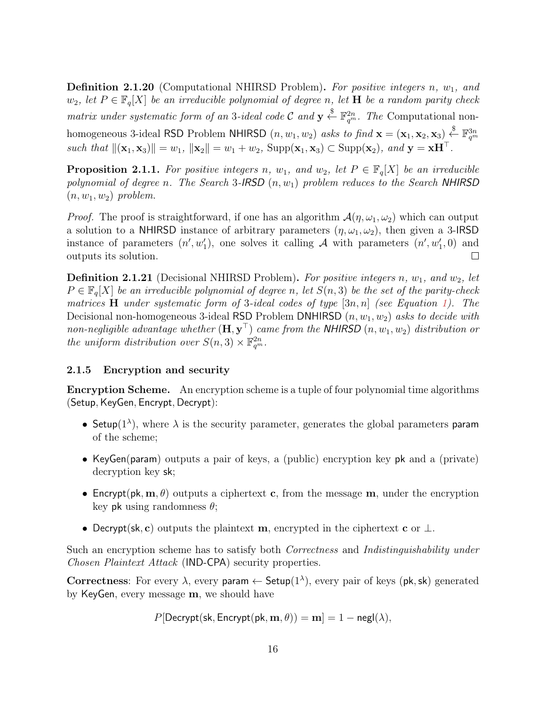**Definition 2.1.20** (Computational NHIRSD Problem). For positive integers n,  $w_1$ , and  $w_2$ , let  $P \in \mathbb{F}_q[X]$  be an irreducible polynomial of degree n, let **H** be a random parity check matrix under systematic form of an 3-ideal code C and  $y \stackrel{\$}{\leftarrow} \mathbb{F}_{q^m}^{2n}$ . The Computational nonhomogeneous 3-ideal RSD Problem NHIRSD  $(n, w_1, w_2)$  asks to find  $\mathbf{x} = (\mathbf{x}_1, \mathbf{x}_2, \mathbf{x}_3) \stackrel{\$}{\leftarrow} \mathbb{F}_{q^m}^{3n}$ such that  $\|(\mathbf{x}_1, \mathbf{x}_3)\| = w_1$ ,  $\|\mathbf{x}_2\| = w_1 + w_2$ ,  $\text{Supp}(\mathbf{x}_1, \mathbf{x}_3) \subset \text{Supp}(\mathbf{x}_2)$ , and  $\mathbf{y} = \mathbf{x} \mathbf{H}^\top$ .

<span id="page-15-1"></span>**Proposition 2.1.1.** For positive integers n,  $w_1$ , and  $w_2$ , let  $P \in \mathbb{F}_q[X]$  be an irreducible polynomial of degree n. The Search 3-IRSD  $(n, w_1)$  problem reduces to the Search NHIRSD  $(n, w_1, w_2)$  problem.

*Proof.* The proof is straightforward, if one has an algorithm  $\mathcal{A}(\eta,\omega_1,\omega_2)$  which can output a solution to a NHIRSD instance of arbitrary parameters  $(\eta, \omega_1, \omega_2)$ , then given a 3-IRSD instance of parameters  $(n', w'_1)$ , one solves it calling A with parameters  $(n', w'_1, 0)$  and outputs its solution.  $\Box$ 

<span id="page-15-2"></span>**Definition 2.1.21** (Decisional NHIRSD Problem). For positive integers n,  $w_1$ , and  $w_2$ , let  $P \in \mathbb{F}_q[X]$  be an irreducible polynomial of degree n, let  $S(n, 3)$  be the set of the parity-check matrices **H** under systematic form of 3-ideal codes of type  $[3n, n]$  (see Equation [1\)](#page-9-0). The Decisional non-homogeneous 3-ideal RSD Problem DNHIRSD  $(n, w_1, w_2)$  asks to decide with non-negligible advantage whether  $(\mathbf{H},\mathbf{y}^\top)$  came from the NHIRSD  $(n,w_1,w_2)$  distribution or the uniform distribution over  $S(n, 3) \times \mathbb{F}_{q^m}^{2n}$ .

#### <span id="page-15-0"></span>2.1.5 Encryption and security

Encryption Scheme. An encryption scheme is a tuple of four polynomial time algorithms (Setup, KeyGen, Encrypt, Decrypt):

- Setup( $1^{\lambda}$ ), where  $\lambda$  is the security parameter, generates the global parameters param of the scheme;
- KeyGen(param) outputs a pair of keys, a (public) encryption key pk and a (private) decryption key sk;
- Encrypt(pk,  $\mathbf{m}, \theta$ ) outputs a ciphertext c, from the message  $\mathbf{m}$ , under the encryption key pk using randomness  $\theta$ ;
- Decrypt(sk, c) outputs the plaintext m, encrypted in the ciphertext c or  $\perp$ .

Such an encryption scheme has to satisfy both Correctness and Indistinguishability under Chosen Plaintext Attack (IND-CPA) security properties.

Correctness: For every  $\lambda$ , every param  $\leftarrow$  Setup $(1^{\lambda})$ , every pair of keys (pk, sk) generated by KeyGen, every message m, we should have

 $P[\text{Decrypt}(\textsf{sk}, \text{Encrypt}(\textsf{pk}, \textbf{m}, \theta)) = \textbf{m}] = 1 - \textsf{negl}(\lambda),$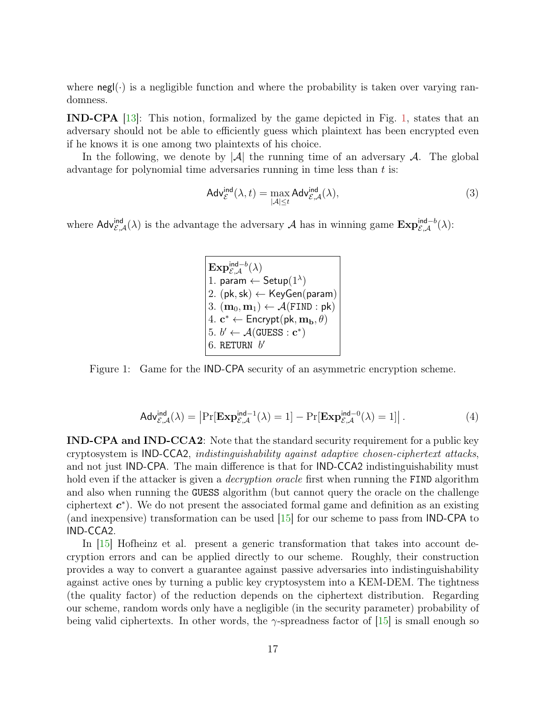<span id="page-16-1"></span>where  $\text{negl}(\cdot)$  is a negligible function and where the probability is taken over varying randomness.

IND-CPA [\[13\]](#page-35-5): This notion, formalized by the game depicted in Fig. [1,](#page-16-0) states that an adversary should not be able to efficiently guess which plaintext has been encrypted even if he knows it is one among two plaintexts of his choice.

In the following, we denote by  $|\mathcal{A}|$  the running time of an adversary  $\mathcal{A}$ . The global advantage for polynomial time adversaries running in time less than  $t$  is:

$$
\mathsf{Adv}_{\mathcal{E}}^{\mathsf{ind}}(\lambda, t) = \max_{|\mathcal{A}| \le t} \mathsf{Adv}_{\mathcal{E}, \mathcal{A}}^{\mathsf{ind}}(\lambda),\tag{3}
$$

where  $\mathsf{Adv}_{\mathcal{E},\mathcal{A}}^{\mathsf{ind}}(\lambda)$  is the advantage the adversary  $\mathcal{A}$  has in winning game  $\mathbf{Exp}_{\mathcal{E},\mathcal{A}}^{\mathsf{ind}-b}(\lambda)$ :

 $\mathrm{Exp}_{\mathcal{E},\mathcal{A}}^{\mathsf{ind}-b}(\lambda)$ 1. param  $\leftarrow$  Setup $(1^{\lambda})$ 2.  $(\mathsf{pk},\mathsf{sk}) \leftarrow \mathsf{KeyGen}(\mathsf{param})$ 3.  $(\mathbf{m}_0, \mathbf{m}_1) \leftarrow \mathcal{A}(\texttt{FIND} : \textsf{pk})$ 4.  $\mathbf{c}^* \leftarrow$  Encrypt $(\mathsf{pk}, \mathbf{m}_\mathbf{b}, \theta)$ 5.  $b' \leftarrow \mathcal{A}(\text{GUESS} : \mathbf{c}^*)$ 6. RETURN  $b'$ 

<span id="page-16-0"></span>Figure 1: Game for the IND-CPA security of an asymmetric encryption scheme.

$$
\mathsf{Adv}_{\mathcal{E},\mathcal{A}}^{\mathsf{ind}}(\lambda) = \left| \Pr[\mathbf{Exp}_{\mathcal{E},\mathcal{A}}^{\mathsf{ind}-1}(\lambda) = 1] - \Pr[\mathbf{Exp}_{\mathcal{E},\mathcal{A}}^{\mathsf{ind}-0}(\lambda) = 1] \right|.
$$
 (4)

IND-CPA and IND-CCA2: Note that the standard security requirement for a public key cryptosystem is IND-CCA2, indistinguishability against adaptive chosen-ciphertext attacks, and not just IND-CPA. The main difference is that for IND-CCA2 indistinguishability must hold even if the attacker is given a *decryption oracle* first when running the FIND algorithm and also when running the GUESS algorithm (but cannot query the oracle on the challenge ciphertext  $c^*$ ). We do not present the associated formal game and definition as an existing (and inexpensive) transformation can be used [\[15\]](#page-36-1) for our scheme to pass from IND-CPA to IND-CCA2.

In [\[15\]](#page-36-1) Hofheinz et al. present a generic transformation that takes into account decryption errors and can be applied directly to our scheme. Roughly, their construction provides a way to convert a guarantee against passive adversaries into indistinguishability against active ones by turning a public key cryptosystem into a KEM-DEM. The tightness (the quality factor) of the reduction depends on the ciphertext distribution. Regarding our scheme, random words only have a negligible (in the security parameter) probability of being valid ciphertexts. In other words, the  $\gamma$ -spreadness factor of [\[15\]](#page-36-1) is small enough so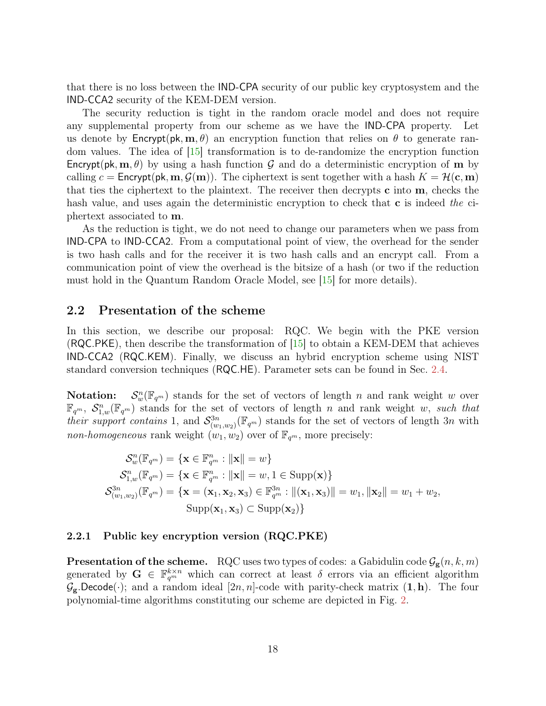<span id="page-17-2"></span>that there is no loss between the IND-CPA security of our public key cryptosystem and the IND-CCA2 security of the KEM-DEM version.

The security reduction is tight in the random oracle model and does not require any supplemental property from our scheme as we have the IND-CPA property. Let us denote by  $\mathsf{Encrypt}(\mathsf{pk}, \mathbf{m}, \theta)$  an encryption function that relies on  $\theta$  to generate random values. The idea of [\[15\]](#page-36-1) transformation is to de-randomize the encryption function Encrypt(pk,  $\mathbf{m}, \theta$ ) by using a hash function G and do a deterministic encryption of m by calling  $c = \text{Encrypt}(\mathsf{pk}, \mathbf{m}, \mathcal{G}(\mathbf{m}))$ . The ciphertext is sent together with a hash  $K = \mathcal{H}(\mathbf{c}, \mathbf{m})$ that ties the ciphertext to the plaintext. The receiver then decrypts  $c$  into  $m$ , checks the hash value, and uses again the deterministic encryption to check that **c** is indeed the ciphertext associated to m.

As the reduction is tight, we do not need to change our parameters when we pass from IND-CPA to IND-CCA2. From a computational point of view, the overhead for the sender is two hash calls and for the receiver it is two hash calls and an encrypt call. From a communication point of view the overhead is the bitsize of a hash (or two if the reduction must hold in the Quantum Random Oracle Model, see [\[15\]](#page-36-1) for more details).

#### <span id="page-17-0"></span>2.2 Presentation of the scheme

In this section, we describe our proposal: RQC. We begin with the PKE version (RQC.PKE), then describe the transformation of [\[15\]](#page-36-1) to obtain a KEM-DEM that achieves IND-CCA2 (RQC.KEM). Finally, we discuss an hybrid encryption scheme using NIST standard conversion techniques (RQC.HE). Parameter sets can be found in Sec. [2.4.](#page-20-2)

Notation:  $w_w^m(\mathbb{F}_{q^m})$  stands for the set of vectors of length n and rank weight w over  $\mathbb{F}_{q^m}$ ,  $\mathcal{S}_{1,w}^n(\mathbb{F}_{q^m})$  stands for the set of vectors of length n and rank weight w, such that their support contains 1, and  $\mathcal{S}^{3n}_{(w_1,w_2)}(\mathbb{F}_{q^m})$  stands for the set of vectors of length 3n with non-homogeneous rank weight  $(w_1, w_2)$  over of  $\mathbb{F}_{q^m}$ , more precisely:

$$
\mathcal{S}_w^n(\mathbb{F}_{q^m}) = \{ \mathbf{x} \in \mathbb{F}_{q^m}^n : ||\mathbf{x}|| = w \}
$$
  
\n
$$
\mathcal{S}_{1,w}^n(\mathbb{F}_{q^m}) = \{ \mathbf{x} \in \mathbb{F}_{q^m}^n : ||\mathbf{x}|| = w, 1 \in \text{Supp}(\mathbf{x}) \}
$$
  
\n
$$
\mathcal{S}_{(w_1,w_2)}^{3n}(\mathbb{F}_{q^m}) = \{ \mathbf{x} = (\mathbf{x}_1, \mathbf{x}_2, \mathbf{x}_3) \in \mathbb{F}_{q^m}^{3n} : ||(\mathbf{x}_1, \mathbf{x}_3)|| = w_1, ||\mathbf{x}_2|| = w_1 + w_2,
$$
  
\n
$$
\text{Supp}(\mathbf{x}_1, \mathbf{x}_3) \subset \text{Supp}(\mathbf{x}_2) \}
$$

#### <span id="page-17-1"></span>2.2.1 Public key encryption version (RQC.PKE)

**Presentation of the scheme.** RQC uses two types of codes: a Gabidulin code  $\mathcal{G}_{g}(n, k, m)$ generated by  $G \in \mathbb{F}_{q^m}^{k \times n}$  which can correct at least  $\delta$  errors via an efficient algorithm  $\mathcal{G}_{g}$ .Decode( $\cdot$ ); and a random ideal [2n, n]-code with parity-check matrix  $(1, h)$ . The four polynomial-time algorithms constituting our scheme are depicted in Fig. [2.](#page-18-1)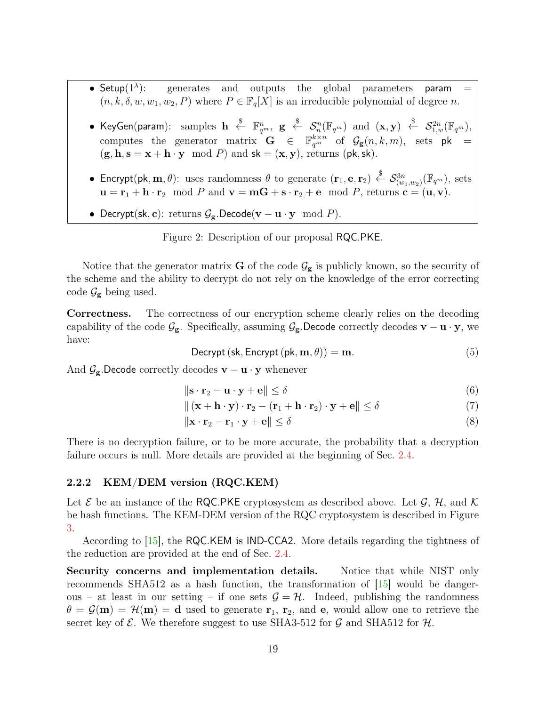- <span id="page-18-2"></span>• Setup $(1^{\lambda})$ : generates and outputs the global parameters param  $(n, k, \delta, w, w_1, w_2, P)$  where  $P \in \mathbb{F}_q[X]$  is an irreducible polynomial of degree n.
- KeyGen(param): samples  $\mathbf{h} \ \stackrel{\$}{\leftarrow} \ \mathbb{F}_{q^m}^n,$   $\mathbf{g} \ \stackrel{\$}{\leftarrow} \ \mathcal{S}_n^n(\mathbb{F}_{q^m})$  and  $(\mathbf{x},\mathbf{y}) \ \stackrel{\$}{\leftarrow} \ \mathcal{S}_{1,w}^{2n}(\mathbb{F}_{q^m}),$ computes the generator matrix  $\mathbf{G} \in \mathbb{F}_{q^m}^{k \times n}$  of  $\mathcal{G}_{g}(n,k,m)$ , sets pk =  $(\mathbf{g}, \mathbf{h}, \mathbf{s} = \mathbf{x} + \mathbf{h} \cdot \mathbf{y} \mod P)$  and  $\mathbf{sk} = (\mathbf{x}, \mathbf{y})$ , returns  $(\mathsf{pk}, \mathsf{sk})$ .
- Encrypt(pk, m,  $\theta$ ): uses randomness  $\theta$  to generate  $(\mathbf{r}_1, \mathbf{e}, \mathbf{r}_2) \overset{\$}{\leftarrow} \mathcal{S}^{3n}_{(w_1, w_2)}(\mathbb{F}_{q^m})$ , sets  $\mathbf{u} = \mathbf{r}_1 + \mathbf{h} \cdot \mathbf{r}_2 \mod P$  and  $\mathbf{v} = \mathbf{m}\mathbf{G} + \mathbf{s} \cdot \mathbf{r}_2 + \mathbf{e} \mod P$ , returns  $\mathbf{c} = (\mathbf{u}, \mathbf{v})$ .
- Decrypt(sk, c): returns  $\mathcal{G}_{g}$ .Decode(v u · y mod P).

<span id="page-18-1"></span>Figure 2: Description of our proposal RQC.PKE.

Notice that the generator matrix **G** of the code  $\mathcal{G}_{g}$  is publicly known, so the security of the scheme and the ability to decrypt do not rely on the knowledge of the error correcting code  $\mathcal{G}_{g}$  being used.

Correctness. The correctness of our encryption scheme clearly relies on the decoding capability of the code  $\mathcal{G}_{g}$ . Specifically, assuming  $\mathcal{G}_{g}$ .Decode correctly decodes  $v - u \cdot y$ , we have:

Decrypt (sk, Encrypt (pk,  $\mathbf{m}, \theta$ )) = m. (5)

And  $\mathcal{G}_{g}$ .Decode correctly decodes  $\mathbf{v} - \mathbf{u} \cdot \mathbf{y}$  whenever

$$
\|\mathbf{s} \cdot \mathbf{r}_2 - \mathbf{u} \cdot \mathbf{y} + \mathbf{e}\| \le \delta \tag{6}
$$

$$
\|(\mathbf{x} + \mathbf{h} \cdot \mathbf{y}) \cdot \mathbf{r}_2 - (\mathbf{r}_1 + \mathbf{h} \cdot \mathbf{r}_2) \cdot \mathbf{y} + \mathbf{e}\| \le \delta \tag{7}
$$

$$
\|\mathbf{x} \cdot \mathbf{r}_2 - \mathbf{r}_1 \cdot \mathbf{y} + \mathbf{e}\| \le \delta \tag{8}
$$

There is no decryption failure, or to be more accurate, the probability that a decryption failure occurs is null. More details are provided at the beginning of Sec. [2.4.](#page-20-2)

#### <span id="page-18-0"></span>2.2.2 KEM/DEM version (RQC.KEM)

Let  $\mathcal E$  be an instance of the RQC.PKE cryptosystem as described above. Let  $\mathcal G$ ,  $\mathcal H$ , and  $\mathcal K$ be hash functions. The KEM-DEM version of the RQC cryptosystem is described in Figure [3.](#page-19-3)

According to [\[15\]](#page-36-1), the RQC.KEM is IND-CCA2. More details regarding the tightness of the reduction are provided at the end of Sec. [2.4.](#page-20-2)

Security concerns and implementation details. Notice that while NIST only recommends SHA512 as a hash function, the transformation of  $|15|$  would be dangerous – at least in our setting – if one sets  $\mathcal{G} = \mathcal{H}$ . Indeed, publishing the randomness  $\theta = \mathcal{G}(m) = \mathcal{H}(m) = d$  used to generate  $r_1, r_2,$  and e, would allow one to retrieve the secret key of  $\mathcal E$ . We therefore suggest to use SHA3-512 for  $\mathcal G$  and SHA512 for  $\mathcal H$ .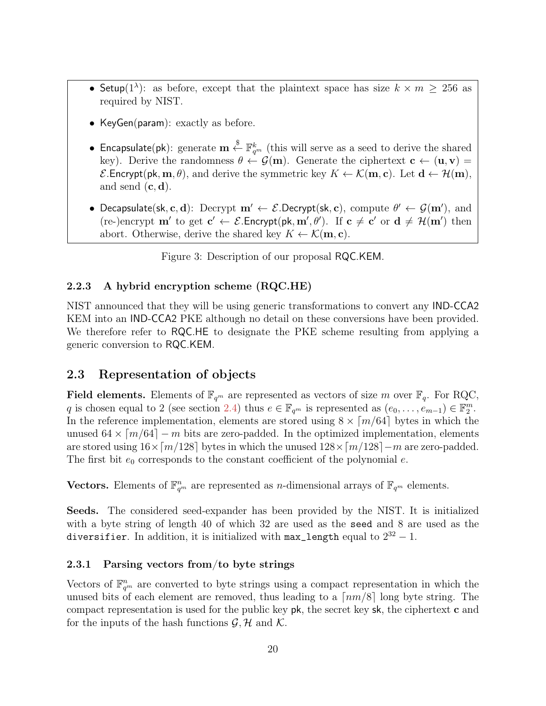- Setup(1<sup> $\lambda$ </sup>): as before, except that the plaintext space has size  $k \times m \geq 256$  as required by NIST.
- KeyGen(param): exactly as before.
- Encapsulate(pk): generate  $\mathbf{m}\stackrel{\$}{\leftarrow}\mathbb{F}_{q^m}^k$  (this will serve as a seed to derive the shared key). Derive the randomness  $\theta \leftarrow \mathcal{G}(m)$ . Generate the ciphertext  $c \leftarrow (u, v)$  $\mathcal{E}$ . Encrypt(pk, m,  $\theta$ ), and derive the symmetric key  $K \leftarrow \mathcal{K}(\mathbf{m}, \mathbf{c})$ . Let  $\mathbf{d} \leftarrow \mathcal{H}(\mathbf{m})$ , and send  $(c, d)$ .
- Decapsulate(sk, c, d): Decrypt  $m' \leftarrow \mathcal{E}$ .Decrypt(sk, c), compute  $\theta' \leftarrow \mathcal{G}(m')$ , and (re-)encrypt  $\mathbf{m}'$  to get  $\mathbf{c}' \leftarrow \mathcal{E}$ . Encrypt(pk,  $\mathbf{m}', \theta'$ ). If  $\mathbf{c} \neq \mathbf{c}'$  or  $\mathbf{d} \neq \mathcal{H}(\mathbf{m}')$  then abort. Otherwise, derive the shared key  $K \leftarrow \mathcal{K}(\mathbf{m}, \mathbf{c})$ .

<span id="page-19-3"></span>Figure 3: Description of our proposal RQC.KEM.

#### <span id="page-19-0"></span>2.2.3 A hybrid encryption scheme (RQC.HE)

NIST announced that they will be using generic transformations to convert any IND-CCA2 KEM into an IND-CCA2 PKE although no detail on these conversions have been provided. We therefore refer to RQC.HE to designate the PKE scheme resulting from applying a generic conversion to RQC.KEM.

## <span id="page-19-1"></span>2.3 Representation of objects

**Field elements.** Elements of  $\mathbb{F}_{q^m}$  are represented as vectors of size m over  $\mathbb{F}_q$ . For RQC, q is chosen equal to 2 (see section [2.4\)](#page-20-2) thus  $e \in \mathbb{F}_{q^m}$  is represented as  $(e_0, \ldots, e_{m-1}) \in \mathbb{F}_2^m$ . In the reference implementation, elements are stored using  $8 \times \lceil m/64 \rceil$  bytes in which the unused  $64 \times \lceil m/64 \rceil - m$  bits are zero-padded. In the optimized implementation, elements are stored using  $16\times\lceil m/128\rceil$  bytes in which the unused  $128\times\lceil m/128\rceil-m$  are zero-padded. The first bit  $e_0$  corresponds to the constant coefficient of the polynomial  $e$ .

Vectors. Elements of  $\mathbb{F}_{q^m}^n$  are represented as *n*-dimensional arrays of  $\mathbb{F}_{q^m}$  elements.

Seeds. The considered seed-expander has been provided by the NIST. It is initialized with a byte string of length 40 of which 32 are used as the seed and 8 are used as the diversifier. In addition, it is initialized with  $\texttt{max\_length}$  equal to  $2^{32} - 1$ .

#### <span id="page-19-2"></span>2.3.1 Parsing vectors from/to byte strings

Vectors of  $\mathbb{F}_{q^m}^n$  are converted to byte strings using a compact representation in which the unused bits of each element are removed, thus leading to a  $\lceil nm/8 \rceil$  long byte string. The compact representation is used for the public key  $pk$ , the secret key  $sk$ , the ciphertext  $c$  and for the inputs of the hash functions  $\mathcal{G}, \mathcal{H}$  and  $\mathcal{K}$ .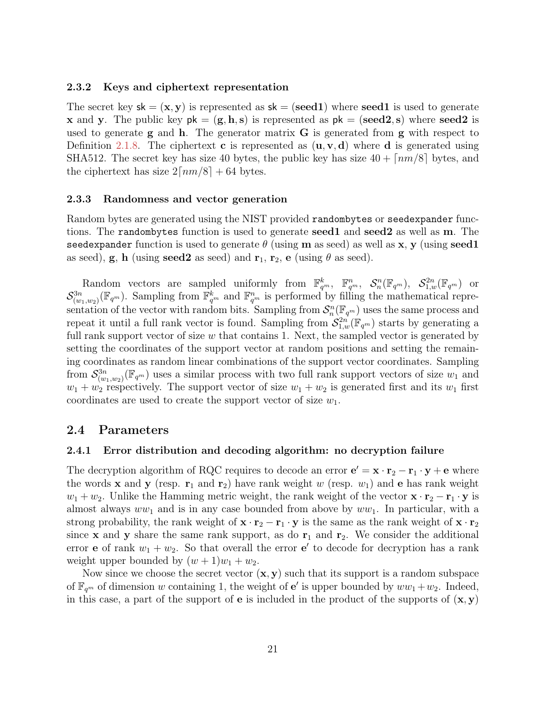#### <span id="page-20-0"></span>2.3.2 Keys and ciphertext representation

The secret key  $sk = (x, y)$  is represented as  $sk = (seed1)$  where seed is used to generate x and y. The public key  $pk = (g, h, s)$  is represented as  $pk = (seed2, s)$  where seed2 is used to generate  $g$  and  $h$ . The generator matrix  $G$  is generated from  $g$  with respect to Definition [2.1.8.](#page-11-0) The ciphertext **c** is represented as  $(\mathbf{u}, \mathbf{v}, \mathbf{d})$  where **d** is generated using SHA512. The secret key has size 40 bytes, the public key has size  $40 + \lceil nm/8 \rceil$  bytes, and the ciphertext has size  $2\lceil nm/8\rceil + 64$  bytes.

#### <span id="page-20-1"></span>2.3.3 Randomness and vector generation

Random bytes are generated using the NIST provided randombytes or seedexpander functions. The randombytes function is used to generate seed1 and seed2 as well as m. The seedexpander function is used to generate  $\theta$  (using m as seed) as well as x, y (using seed1 as seed), g, h (using seed2 as seed) and  $r_1$ ,  $r_2$ , e (using  $\theta$  as seed).

Random vectors are sampled uniformly from  $\mathbb{F}_{q^m}^k$ ,  $\mathbb{F}_{q^m}^n$ ,  $\mathcal{S}_n^n(\mathbb{F}_{q^m})$ ,  $\mathcal{S}_{1,w}^{2n}(\mathbb{F}_{q^m})$  or  $\mathcal{S}_{(w_1,w_2)}^{3n}(\mathbb{F}_{q^m})$ . Sampling from  $\mathbb{F}_{q^m}^k$  and  $\mathbb{F}_{q^m}^n$  is performed by filling the mathematical representation of the vector with random bits. Sampling from  $\mathcal{S}_n^n(\mathbb{F}_{q^m})$  uses the same process and repeat it until a full rank vector is found. Sampling from  $\mathcal{S}^{2n}_{1,w}(\mathbb{F}_{q^m})$  starts by generating a full rank support vector of size  $w$  that contains 1. Next, the sampled vector is generated by setting the coordinates of the support vector at random positions and setting the remaining coordinates as random linear combinations of the support vector coordinates. Sampling from  $\mathcal{S}_{(w_1,w_2)}^{3n}(\mathbb{F}_{q^m})$  uses a similar process with two full rank support vectors of size  $w_1$  and  $w_1 + w_2$  respectively. The support vector of size  $w_1 + w_2$  is generated first and its  $w_1$  first coordinates are used to create the support vector of size  $w_1$ .

#### <span id="page-20-2"></span>2.4 Parameters

#### <span id="page-20-3"></span>2.4.1 Error distribution and decoding algorithm: no decryption failure

The decryption algorithm of RQC requires to decode an error  $\mathbf{e}' = \mathbf{x} \cdot \mathbf{r}_2 - \mathbf{r}_1 \cdot \mathbf{y} + \mathbf{e}$  where the words **x** and **y** (resp.  $\mathbf{r}_1$  and  $\mathbf{r}_2$ ) have rank weight w (resp.  $w_1$ ) and **e** has rank weight  $w_1 + w_2$ . Unlike the Hamming metric weight, the rank weight of the vector  $\mathbf{x} \cdot \mathbf{r}_2 - \mathbf{r}_1 \cdot \mathbf{y}$  is almost always  $ww_1$  and is in any case bounded from above by  $ww_1$ . In particular, with a strong probability, the rank weight of  ${\bf x} \cdot {\bf r}_2 - {\bf r}_1 \cdot {\bf y}$  is the same as the rank weight of  ${\bf x} \cdot {\bf r}_2$ since **x** and **y** share the same rank support, as do  $\mathbf{r}_1$  and  $\mathbf{r}_2$ . We consider the additional error **e** of rank  $w_1 + w_2$ . So that overall the error **e**' to decode for decryption has a rank weight upper bounded by  $(w + 1)w_1 + w_2$ .

Now since we choose the secret vector  $(x, y)$  such that its support is a random subspace of  $\mathbb{F}_{q^m}$  of dimension w containing 1, the weight of **e**' is upper bounded by  $ww_1+w_2$ . Indeed, in this case, a part of the support of **e** is included in the product of the supports of  $(x, y)$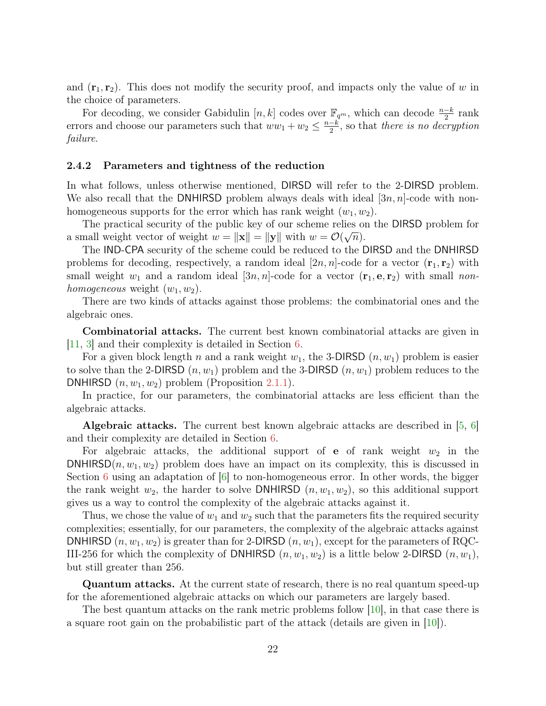<span id="page-21-1"></span>and  $(\mathbf{r}_1, \mathbf{r}_2)$ . This does not modify the security proof, and impacts only the value of w in the choice of parameters.

For decoding, we consider Gabidulin  $[n, k]$  codes over  $\mathbb{F}_{q^m}$ , which can decode  $\frac{n-k}{2}$  rank errors and choose our parameters such that  $ww_1 + w_2 \leq \frac{n-k}{2}$  $\frac{-k}{2}$ , so that *there is no decryption* failure.

#### <span id="page-21-0"></span>2.4.2 Parameters and tightness of the reduction

In what follows, unless otherwise mentioned, DIRSD will refer to the 2-DIRSD problem. We also recall that the DNHIRSD problem always deals with ideal  $[3n, n]$ -code with nonhomogeneous supports for the error which has rank weight  $(w_1, w_2)$ .

The practical security of the public key of our scheme relies on the DIRSD problem for a small weight vector of weight  $w = ||\mathbf{x}|| = ||\mathbf{y}||$  with  $w = \mathcal{O}(\sqrt{n}).$ 

The IND-CPA security of the scheme could be reduced to the DIRSD and the DNHIRSD problems for decoding, respectively, a random ideal  $[2n, n]$ -code for a vector  $(\mathbf{r}_1, \mathbf{r}_2)$  with small weight  $w_1$  and a random ideal [3n, n]-code for a vector  $(\mathbf{r}_1, \mathbf{e}, \mathbf{r}_2)$  with small nonhomogeneous weight  $(w_1, w_2)$ .

There are two kinds of attacks against those problems: the combinatorial ones and the algebraic ones.

Combinatorial attacks. The current best known combinatorial attacks are given in [\[11,](#page-35-6) [3\]](#page-34-6) and their complexity is detailed in Section [6.](#page-28-0)

For a given block length n and a rank weight  $w_1$ , the 3-DIRSD  $(n, w_1)$  problem is easier to solve than the 2-DIRSD  $(n, w_1)$  problem and the 3-DIRSD  $(n, w_1)$  problem reduces to the DNHIRSD  $(n, w_1, w_2)$  problem (Proposition [2.1.1\)](#page-15-1).

In practice, for our parameters, the combinatorial attacks are less efficient than the algebraic attacks.

Algebraic attacks. The current best known algebraic attacks are described in [\[5,](#page-35-0) [6\]](#page-35-1) and their complexity are detailed in Section [6.](#page-28-0)

For algebraic attacks, the additional support of **e** of rank weight  $w_2$  in the DNHIRSD $(n, w_1, w_2)$  problem does have an impact on its complexity, this is discussed in Section [6](#page-28-0) using an adaptation of  $\vert 6 \vert$  to non-homogeneous error. In other words, the bigger the rank weight  $w_2$ , the harder to solve DNHIRSD  $(n, w_1, w_2)$ , so this additional support gives us a way to control the complexity of the algebraic attacks against it.

Thus, we chose the value of  $w_1$  and  $w_2$  such that the parameters fits the required security complexities; essentially, for our parameters, the complexity of the algebraic attacks against DNHIRSD  $(n, w_1, w_2)$  is greater than for 2-DIRSD  $(n, w_1)$ , except for the parameters of RQC-III-256 for which the complexity of DNHIRSD  $(n, w_1, w_2)$  is a little below 2-DIRSD  $(n, w_1)$ , but still greater than 256.

Quantum attacks. At the current state of research, there is no real quantum speed-up for the aforementioned algebraic attacks on which our parameters are largely based.

The best quantum attacks on the rank metric problems follow [\[10\]](#page-35-7), in that case there is a square root gain on the probabilistic part of the attack (details are given in  $[10]$ ).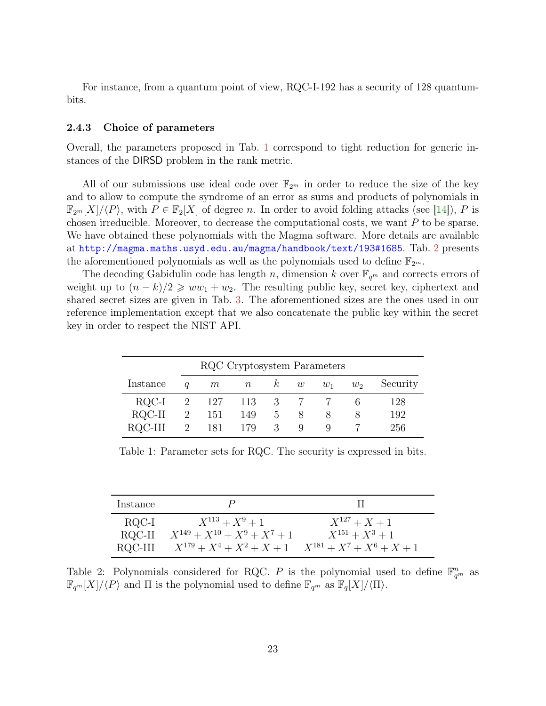<span id="page-22-3"></span>For instance, from a quantum point of view, RQC-I-192 has a security of 128 quantumbits.

#### <span id="page-22-0"></span>2.4.3 Choice of parameters

Overall, the parameters proposed in Tab. [1](#page-22-1) correspond to tight reduction for generic instances of the DIRSD problem in the rank metric.

All of our submissions use ideal code over  $\mathbb{F}_{2^m}$  in order to reduce the size of the key and to allow to compute the syndrome of an error as sums and products of polynomials in  $\mathbb{F}_{2^m}[X]/\langle P\rangle$ , with  $P \in \mathbb{F}_2[X]$  of degree n. In order to avoid folding attacks (see [\[14\]](#page-35-8)), P is chosen irreducible. Moreover, to decrease the computational costs, we want  $P$  to be sparse. We have obtained these polynomials with the Magma software. More details are available at <http://magma.maths.usyd.edu.au/magma/handbook/text/193#1685>. Tab. [2](#page-22-2) presents the aforementioned polynomials as well as the polynomials used to define  $\mathbb{F}_{2^m}$ .

The decoding Gabidulin code has length n, dimension k over  $\mathbb{F}_{q^m}$  and corrects errors of weight up to  $(n - k)/2 \geq w w_1 + w_2$ . The resulting public key, secret key, ciphertext and shared secret sizes are given in Tab. [3.](#page-23-0) The aforementioned sizes are the ones used in our reference implementation except that we also concatenate the public key within the secret key in order to respect the NIST API.

|              |   | RQC Cryptosystem Parameters |             |          |             |       |       |          |
|--------------|---|-----------------------------|-------------|----------|-------------|-------|-------|----------|
| Instance     | a | m                           | $\, n$      | k        | w           | $w_1$ | $w_2$ | Security |
| RQC-I        | 2 |                             | 127 113 3 7 |          |             |       |       | 128      |
| $\rm RQC-II$ | 2 | 151                         | 149         | $\sigma$ | $8^{\circ}$ |       |       | 192      |
| RQC-III      | 2 | 181                         | - 179       | 3        | 9           |       |       | 256      |

<span id="page-22-1"></span>Table 1: Parameter sets for RQC. The security is expressed in bits.

| Instance |                                    |                               |
|----------|------------------------------------|-------------------------------|
| RQC-I    | $X^{113} + X^9 + 1$                | $X^{127} + X + 1$             |
| RQC-II   | $X^{149} + X^{10} + X^9 + X^7 + 1$ | $X^{151} + X^3 + 1$           |
| RQC-III  | $X^{179} + X^4 + X^2 + X + 1$      | $X^{181} + X^7 + X^6 + X + 1$ |

<span id="page-22-2"></span>Table 2: Polynomials considered for RQC. P is the polynomial used to define  $\mathbb{F}_{q^m}^n$  as  $\mathbb{F}_{q^m}[X]/\langle P\rangle$  and  $\Pi$  is the polynomial used to define  $\mathbb{F}_{q^m}$  as  $\mathbb{F}_q[X]/\langle \Pi\rangle$ .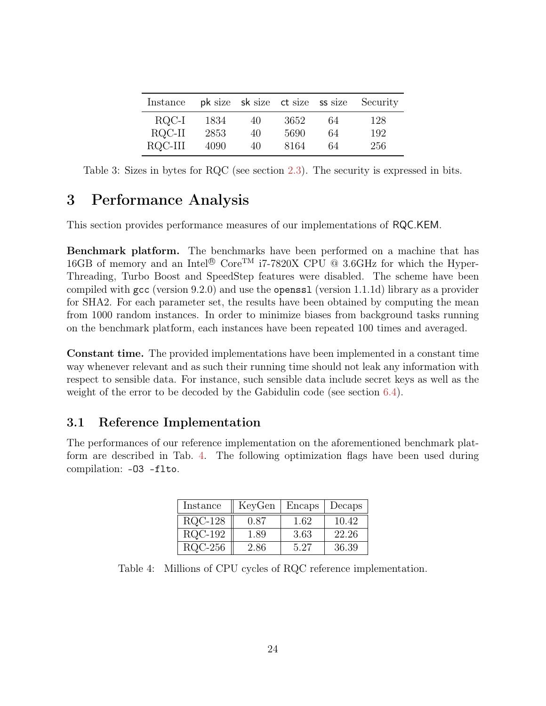| Instance |      |    |      |    | pk size sk size ct size ss size Security |
|----------|------|----|------|----|------------------------------------------|
| RQC-I    | 1834 | 40 | 3652 | 64 | 128                                      |
| RQC-II   | 2853 | 40 | 5690 | 64 | 192                                      |
| ROC-III  | 4090 | 40 | 8164 | 64 | 256                                      |

<span id="page-23-0"></span>Table 3: Sizes in bytes for RQC (see section [2.3\)](#page-19-1). The security is expressed in bits.

## <span id="page-23-1"></span>3 Performance Analysis

This section provides performance measures of our implementations of RQC.KEM.

Benchmark platform. The benchmarks have been performed on a machine that has 16GB of memory and an Intel<sup>®</sup> Core<sup>TM</sup> i7-7820X CPU <sup>®</sup> 3.6GHz for which the Hyper-Threading, Turbo Boost and SpeedStep features were disabled. The scheme have been compiled with gcc (version 9.2.0) and use the openssl (version 1.1.1d) library as a provider for SHA2. For each parameter set, the results have been obtained by computing the mean from 1000 random instances. In order to minimize biases from background tasks running on the benchmark platform, each instances have been repeated 100 times and averaged.

Constant time. The provided implementations have been implemented in a constant time way whenever relevant and as such their running time should not leak any information with respect to sensible data. For instance, such sensible data include secret keys as well as the weight of the error to be decoded by the Gabidulin code (see section [6.4\)](#page-33-1).

## <span id="page-23-2"></span>3.1 Reference Implementation

The performances of our reference implementation on the aforementioned benchmark platform are described in Tab. [4.](#page-23-3) The following optimization flags have been used during compilation: -O3 -flto.

| Instance  | KeyGen | Encaps | Decaps |
|-----------|--------|--------|--------|
| $RQC-128$ | 0.87   | 1.62   | 10.42  |
| $RQC-192$ | 1.89   | 3.63   | 22.26  |
| $RQC-256$ | 2.86   | 5.27   | 36.39  |

<span id="page-23-3"></span>Table 4: Millions of CPU cycles of RQC reference implementation.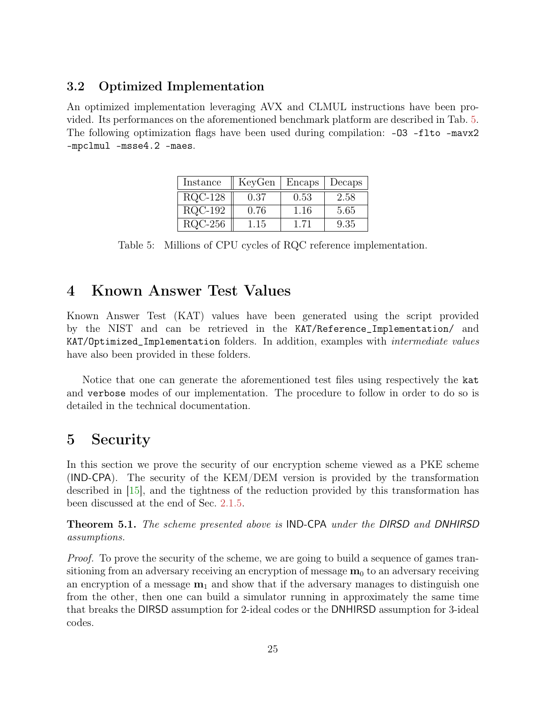### <span id="page-24-4"></span><span id="page-24-0"></span>3.2 Optimized Implementation

An optimized implementation leveraging AVX and CLMUL instructions have been provided. Its performances on the aforementioned benchmark platform are described in Tab. [5.](#page-24-3) The following optimization flags have been used during compilation: -03 -flto -mavx2 -mpclmul -msse4.2 -maes.

| Instance  | KeyGen | Encaps | Decaps |  |
|-----------|--------|--------|--------|--|
| $RQC-128$ | 0.37   | 0.53   | 2.58   |  |
| $RQC-192$ | 0.76   | 1.16   | 5.65   |  |
| $RQC-256$ | 1.15   | 1.71   | 9.35   |  |

<span id="page-24-3"></span>Table 5: Millions of CPU cycles of RQC reference implementation.

## <span id="page-24-1"></span>4 Known Answer Test Values

Known Answer Test (KAT) values have been generated using the script provided by the NIST and can be retrieved in the KAT/Reference\_Implementation/ and KAT/Optimized\_Implementation folders. In addition, examples with intermediate values have also been provided in these folders.

Notice that one can generate the aforementioned test files using respectively the kat and verbose modes of our implementation. The procedure to follow in order to do so is detailed in the technical documentation.

## <span id="page-24-2"></span>5 Security

In this section we prove the security of our encryption scheme viewed as a PKE scheme (IND-CPA). The security of the KEM/DEM version is provided by the transformation described in [\[15\]](#page-36-1), and the tightness of the reduction provided by this transformation has been discussed at the end of Sec. [2.1.5.](#page-15-0)

Theorem 5.1. The scheme presented above is IND-CPA under the DIRSD and DNHIRSD assumptions.

Proof. To prove the security of the scheme, we are going to build a sequence of games transitioning from an adversary receiving an encryption of message  $m_0$  to an adversary receiving an encryption of a message  $m_1$  and show that if the adversary manages to distinguish one from the other, then one can build a simulator running in approximately the same time that breaks the DIRSD assumption for 2-ideal codes or the DNHIRSD assumption for 3-ideal codes.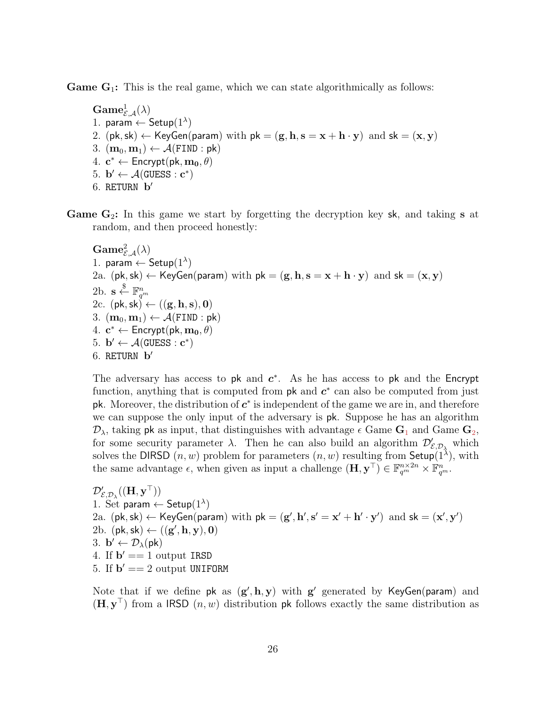<span id="page-25-0"></span>**Game**  $G_1$ **:** This is the real game, which we can state algorithmically as follows:

 $\mathbf{Game}_{\mathcal{E}, \mathcal{A}}^1(\lambda)$ 1. param  $\leftarrow$  Setup $(1^{\lambda})$ 2. (pk, sk)  $\leftarrow$  KeyGen(param) with  $pk = (g, h, s = x + h \cdot y)$  and  $sk = (x, y)$ 3.  $(\mathbf{m}_0, \mathbf{m}_1) \leftarrow \mathcal{A}(\texttt{FIND} : \textsf{pk})$ 4.  $\mathbf{c}^* \leftarrow$  Encrypt $(\mathsf{pk}, \mathbf{m_0}, \theta)$ 5.  $\mathbf{b}' \leftarrow \mathcal{A}(\text{GUESS} : \mathbf{c}^*)$ 6. RETURN  $\mathbf{b}'$ 

<span id="page-25-1"></span>**Game G<sub>2</sub>:** In this game we start by forgetting the decryption key sk, and taking s at random, and then proceed honestly:

 $\mathbf{Game}^2_{\mathcal{E},\mathcal{A}}(\lambda)$ 1. param  $\leftarrow$  Setup $(1^{\lambda})$ 2a. (pk, sk)  $\leftarrow$  KeyGen(param) with pk = (g, h, s = x + h · y) and sk = (x, y) 2b.  $\mathbf{s} \overset{\$}{\leftarrow} \mathbb{F}_{q^m}^n$ 2c.  $(\mathsf{pk}, \mathsf{sk}) \leftarrow ((\mathbf{g}, \mathbf{h}, \mathbf{s}), \mathbf{0})$  $3.$   $(\mathbf{m}_0, \mathbf{m}_1) \leftarrow \mathcal{A}(\texttt{FIND}:\textsf{pk})$ 4.  $\mathbf{c}^* \leftarrow$  Encrypt $(\mathsf{pk}, \mathbf{m_0}, \theta)$ 5.  $\mathbf{b}' \leftarrow \mathcal{A}(\text{GUESS} : \mathbf{c}^*)$ 6. RETURN  $\mathbf{b}'$ 

The adversary has access to pk and  $c^*$ . As he has access to pk and the Encrypt function, anything that is computed from  $pk$  and  $c^*$  can also be computed from just pk. Moreover, the distribution of  $c^*$  is independent of the game we are in, and therefore we can suppose the only input of the adversary is pk. Suppose he has an algorithm  $\mathcal{D}_{\lambda}$ , taking pk as input, that distinguishes with advantage  $\epsilon$  Game  $\mathbf{G}_1$  $\mathbf{G}_1$  and Game  $\mathbf{G}_2$  $\mathbf{G}_2$ , for some security parameter  $\lambda$ . Then he can also build an algorithm  $\mathcal{D}'_{\mathcal{E},\mathcal{D}_\lambda}$  which solves the DIRSD  $(n, w)$  problem for parameters  $(n, w)$  resulting from Setup $(1^{\lambda})$ , with the same advantage  $\epsilon$ , when given as input a challenge  $(\mathbf{H}, \mathbf{y}^{\top}) \in \mathbb{F}_{q^m}^{n \times 2n} \times \mathbb{F}_{q^m}^n$ .

 $\mathcal{D}'_{\mathcal{E},\mathcal{D}_\lambda}((\mathbf{H}, \mathbf{y}^{\top}))$ 1. Set param  $\leftarrow$  Setup $(1^{\lambda})$ 2a.  $(\mathsf{pk}, \mathsf{sk}) \leftarrow \mathsf{KeyGen}(\mathsf{param})$  with  $\mathsf{pk} = (\mathbf{g}', \mathbf{h}', \mathbf{s}' = \mathbf{x}' + \mathbf{h}' \cdot \mathbf{y}')$  and  $\mathsf{sk} = (\mathbf{x}', \mathbf{y}')$ 2b.  $(\mathsf{pk}, \mathsf{sk}) \leftarrow ((\mathbf{g}', \mathbf{h}, \mathbf{y}), \mathbf{0})$ 3.  $\mathbf{b}' \leftarrow \mathcal{D}_{\lambda}(\mathsf{pk})$ 4. If  $\mathbf{b}' == 1$  output IRSD 5. If  $\mathbf{b}' == 2$  output UNIFORM

Note that if we define  $pk$  as  $(g', h, y)$  with  $g'$  generated by KeyGen(param) and  $(\mathbf{H}, \mathbf{y}^{\top})$  from a IRSD  $(n, w)$  distribution pk follows exactly the same distribution as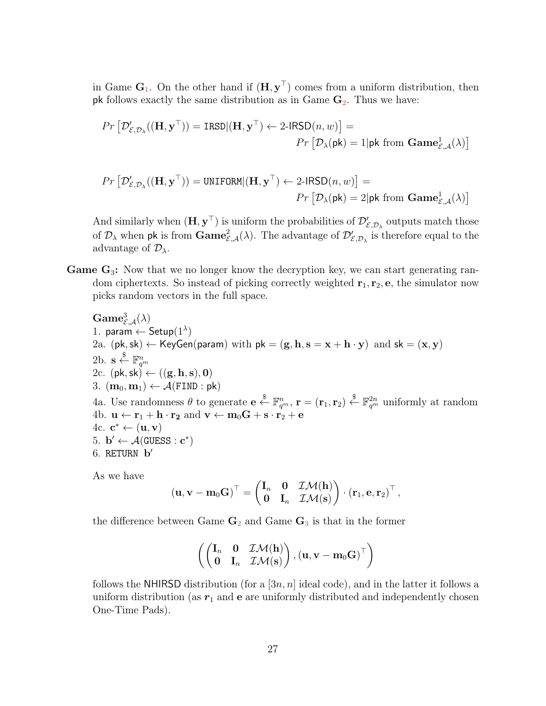in Game  $\mathbf{G}_1$  $\mathbf{G}_1$ . On the other hand if  $(\mathbf{H}, \mathbf{y}^{\top})$  comes from a uniform distribution, then pk follows exactly the same distribution as in Game  $\mathbf{G}_2$  $\mathbf{G}_2$ . Thus we have:

$$
Pr\left[\mathcal{D}'_{\mathcal{E},\mathcal{D}_\lambda}((\mathbf{H}, \mathbf{y}^\top)) = \text{IRSD} | (\mathbf{H}, \mathbf{y}^\top) \leftarrow 2\text{-IRSD}(n, w)\right] =
$$

$$
Pr\left[\mathcal{D}_\lambda(\mathsf{pk}) = 1 | \mathsf{pk} \text{ from } \mathbf{Game}^1_{\mathcal{E},\mathcal{A}}(\lambda)\right]
$$

$$
Pr\left[\mathcal{D}'_{\mathcal{E},\mathcal{D}_\lambda}((\mathbf{H},\mathbf{y}^\top)) = \texttt{UNIFORM} | (\mathbf{H},\mathbf{y}^\top) \leftarrow 2\text{-IFSD}(n,w) \right] =
$$
  

$$
Pr\left[\mathcal{D}_\lambda(\mathsf{pk}) = 2 | \mathsf{pk} \text{ from } \mathbf{Game}^1_{\mathcal{E},\mathcal{A}}(\lambda) \right]
$$

And similarly when  $(\mathbf{H}, \mathbf{y}^{\top})$  is uniform the probabilities of  $\mathcal{D}'_{\mathcal{E}, \mathcal{D}_{\lambda}}$  outputs match those of  $\mathcal{D}_\lambda$  when pk is from  $\textbf{Game}^2_{\mathcal{E},\mathcal{A}}(\lambda)$ . The advantage of  $\mathcal{D}'_{\mathcal{E},\mathcal{D}_\lambda}$  is therefore equal to the advantage of  $\mathcal{D}_{\lambda}$ .

<span id="page-26-0"></span>Game  $\mathbf{G}_3$ : Now that we no longer know the decryption key, we can start generating random ciphertexts. So instead of picking correctly weighted  $r_1, r_2, e$ , the simulator now picks random vectors in the full space.

 $\mathbf{Game}_{\mathcal{E},\mathcal{A}}^3(\lambda)$ 1. param  $\leftarrow$  Setup $(1^{\lambda})$ 2a. (pk, sk)  $\leftarrow$  KeyGen(param) with pk = (g, h, s = x + h · y) and sk = (x, y) 2b.  $\mathbf{s} \overset{\$}{\leftarrow} \mathbb{F}_{q^m}^n$ 2c.  $(\mathsf{pk}, \mathsf{sk}) \leftarrow ((\mathbf{g}, \mathbf{h}, \mathbf{s}), \mathbf{0})$ 3.  $(m_0, m_1) \leftarrow \mathcal{A}(FIND : pk)$ 4a. Use randomness  $\theta$  to generate  $e \stackrel{\$}{\leftarrow} \mathbb{F}_{q^m}^n$ ,  $\mathbf{r} = (\mathbf{r}_1, \mathbf{r}_2) \stackrel{\$}{\leftarrow} \mathbb{F}_{q^m}^{2n}$  uniformly at random 4b.  $\mathbf{u} \leftarrow \mathbf{r}_1 + \mathbf{h} \cdot \mathbf{r}_2$  and  $\mathbf{v} \leftarrow \mathbf{m}_0 \mathbf{G} + \mathbf{s} \cdot \mathbf{r}_2 + \mathbf{e}$ 4c.  $\mathbf{c}^* \leftarrow (\mathbf{u}, \mathbf{v})$ 5.  $\mathbf{b}' \leftarrow \mathcal{A}(\text{GUESS} : \mathbf{c}^*)$ 6. RETURN **b**<sup>'</sup>

As we have

$$
(\mathbf{u},\mathbf{v}-\mathbf{m}_0\mathbf{G})^{\top}=\begin{pmatrix} \mathbf{I}_n & \mathbf{0} & \mathcal{I}\mathcal{M}(\mathbf{h}) \\ \mathbf{0} & \mathbf{I}_n & \mathcal{I}\mathcal{M}(\mathbf{s}) \end{pmatrix} \cdot (\mathbf{r}_1,\mathbf{e},\mathbf{r}_2)^{\top}\,,
$$

the difference between Game  $\mathbf{G}_2$  $\mathbf{G}_2$  and Game  $\mathbf{G}_3$  $\mathbf{G}_3$  is that in the former

$$
\left(\begin{pmatrix} \mathbf{I}_n & \mathbf{0} & \mathcal{IM}(\mathbf{h}) \\ \mathbf{0} & \mathbf{I}_n & \mathcal{IM}(\mathbf{s}) \end{pmatrix}, \left(\mathbf{u}, \mathbf{v} - \mathbf{m}_0 \mathbf{G}\right)^{\top}\right)
$$

follows the NHIRSD distribution (for a  $[3n, n]$  ideal code), and in the latter it follows a uniform distribution (as  $r_1$  and e are uniformly distributed and independently chosen One-Time Pads).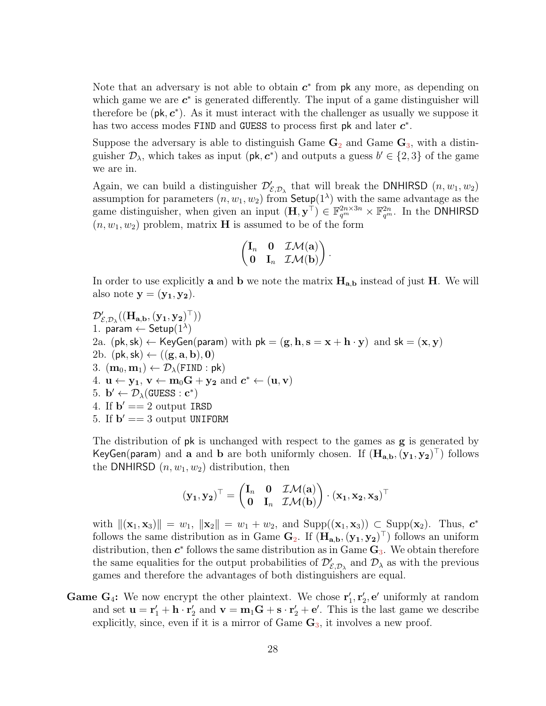Note that an adversary is not able to obtain  $c^*$  from pk any more, as depending on which game we are  $c^*$  is generated differently. The input of a game distinguisher will therefore be  $(\mathsf{pk}, \mathsf{c}^*)$ . As it must interact with the challenger as usually we suppose it has two access modes FIND and GUESS to process first pk and later  $c^*$ .

Suppose the adversary is able to distinguish Game  $\mathbf{G}_2$  $\mathbf{G}_2$  and Game  $\mathbf{G}_3$  $\mathbf{G}_3$ , with a distinguisher  $\mathcal{D}_{\lambda}$ , which takes as input ( $\mathsf{pk}, \mathsf{c}^*$ ) and outputs a guess  $b' \in \{2,3\}$  of the game we are in.

Again, we can build a distinguisher  $\mathcal{D}'_{\mathcal{E},\mathcal{D}_\lambda}$  that will break the DNHIRSD  $(n, w_1, w_2)$ assumption for parameters  $(n, w_1, w_2)$  from  $\mathsf{Setup}(1^{\lambda})$  with the same advantage as the game distinguisher, when given an input  $(\mathbf{H}, \mathbf{y}^{\top}) \in \mathbb{F}_{q^m}^{2n \times 3n} \times \mathbb{F}_{q^m}^{2n}$ . In the DNHIRSD  $(n, w_1, w_2)$  problem, matrix **H** is assumed to be of the form

$$
\begin{pmatrix} \mathbf{I}_n & \mathbf{0} & \mathcal{IM}(\mathbf{a}) \\ \mathbf{0} & \mathbf{I}_n & \mathcal{IM}(\mathbf{b}) \end{pmatrix}.
$$

In order to use explicitly **a** and **b** we note the matrix  $H_{a,b}$  instead of just H. We will also note  $y = (y_1, y_2)$ .

 $\mathcal{D}'_{\mathcal{E}, \mathcal{D}_\lambda}((\mathbf{H}_{\mathbf{a},\mathbf{b}},(\mathbf{y_1},\mathbf{y_2})^\top))$ 1. param  $\leftarrow$  Setup $(1^{\lambda})$ 2a. (pk, sk)  $\leftarrow$  KeyGen(param) with pk = (g, h, s = x + h · y) and sk = (x, y) 2b. (pk, sk)  $\leftarrow ((\mathbf{g}, \mathbf{a}, \mathbf{b}), \mathbf{0})$ 3.  $(m_0, m_1) \leftarrow \mathcal{D}_{\lambda}(\text{FIND} : \text{pk})$ 4.  $\mathbf{u} \leftarrow \mathbf{y_1}, \mathbf{v} \leftarrow \mathbf{m}_0 \mathbf{G} + \mathbf{y_2} \text{ and } \mathbf{c}^* \leftarrow (\mathbf{u}, \mathbf{v})$ 5.  $\mathbf{b}' \leftarrow \mathcal{D}_{\lambda}(\text{GUESS} : \mathbf{c}^*)$ 4. If  $\mathbf{b}' == 2$  output IRSD 5. If  $\mathbf{b}' == 3$  output UNIFORM

The distribution of pk is unchanged with respect to the games as **g** is generated by KeyGen(param) and a and b are both uniformly chosen. If  $(H_{a,b}, (y_1, y_2)^\top)$  follows the DNHIRSD  $(n, w_1, w_2)$  distribution, then

$$
(\mathbf{y_1}, \mathbf{y_2})^{\top} = \begin{pmatrix} \mathbf{I}_n & \mathbf{0} & \mathcal{IM}(\mathbf{a}) \\ \mathbf{0} & \mathbf{I}_n & \mathcal{IM}(\mathbf{b}) \end{pmatrix} \cdot (\mathbf{x_1}, \mathbf{x_2}, \mathbf{x_3})^{\top}
$$

with  $\|({\bf x}_1, {\bf x}_3)\| = w_1, \|{\bf x}_2\| = w_1 + w_2$ , and  $\text{Supp}(({\bf x}_1, {\bf x}_3)) \subset \text{Supp}({\bf x}_2)$ . Thus,  $c^*$ follows the same distribution as in Game  $\mathbf{G}_2$  $\mathbf{G}_2$ . If  $(\mathbf{H}_{a,b},(\mathbf{y}_1,\mathbf{y}_2)^T)$  follows an uniform distribution, then  $c^*$  follows the same distribution as in Game  $G_3$  $G_3$ . We obtain therefore the same equalities for the output probabilities of  $\mathcal{D}'_{\mathcal{E},\mathcal{D}_\lambda}$  and  $\mathcal{D}_\lambda$  as with the previous games and therefore the advantages of both distinguishers are equal.

<span id="page-27-0"></span>**Game G<sub>4</sub>:** We now encrypt the other plaintext. We chose  $\mathbf{r}'_1, \mathbf{r}'_2, \mathbf{e}'$  uniformly at random and set  $\mathbf{u} = \mathbf{r}'_1 + \mathbf{h} \cdot \mathbf{r}'_2$  and  $\mathbf{v} = \mathbf{m}_1 \mathbf{G} + \mathbf{s} \cdot \mathbf{r}'_2 + \mathbf{e}'$ . This is the last game we describe explicitly, since, even if it is a mirror of Game  $\mathbf{G}_3$  $\mathbf{G}_3$ , it involves a new proof.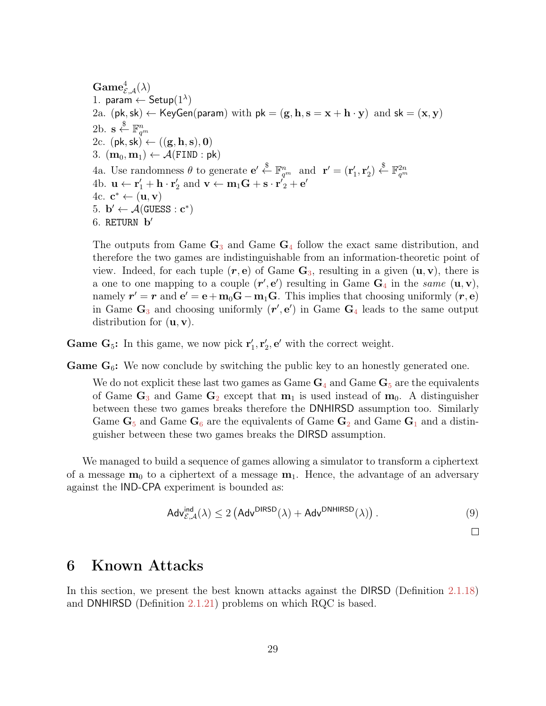$\mathbf{Game}^4_{\mathcal{E}, \mathcal{A}}(\lambda)$ 1. param  $\leftarrow$  Setup $(1^{\lambda})$ 2a. (pk, sk)  $\leftarrow$  KeyGen(param) with pk = (g, h, s = x + h · y) and sk = (x, y) 2b.  $\mathbf{s} \overset{\$}{\leftarrow} \mathbb{F}_{q^m}^n$ 2c.  $(\mathsf{pk}, \mathsf{sk}) \leftarrow ((\mathbf{g}, \mathbf{h}, \mathbf{s}), \mathbf{0})$ 3.  $(\mathbf{m}_0, \mathbf{m}_1) \leftarrow \mathcal{A}(\text{FIND} : \text{pk})$ 4a. Use randomness  $\theta$  to generate  $\mathbf{e}' \stackrel{\$}{\leftarrow} \mathbb{F}_{q^m}^n$  and  $\mathbf{r}' = (\mathbf{r}'_1, \mathbf{r}'_2) \stackrel{\$}{\leftarrow} \mathbb{F}_{q^m}^{2n}$ 4b.  $\mathbf{u} \leftarrow \mathbf{r}'_1 + \mathbf{h} \cdot \mathbf{r}'_2$  and  $\mathbf{v} \leftarrow \mathbf{m}_1 \mathbf{G} + \mathbf{s} \cdot \mathbf{r}'_2 + \mathbf{e}'$ 4c.  $\mathbf{c}^* \leftarrow (\mathbf{u}, \mathbf{v})$ 5.  $\mathbf{b}' \leftarrow \mathcal{A}(\text{GUESS} : \mathbf{c}^*)$ 6. RETURN  $\mathbf{b}'$ 

The outputs from Game  $\mathbf{G}_3$  $\mathbf{G}_3$  and Game  $\mathbf{G}_4$  $\mathbf{G}_4$  follow the exact same distribution, and therefore the two games are indistinguishable from an information-theoretic point of view. Indeed, for each tuple  $(r, e)$  of Game  $\mathbf{G}_3$  $\mathbf{G}_3$ , resulting in a given  $(\mathbf{u}, \mathbf{v})$ , there is a one to one mapping to a couple  $(r', e')$  resulting in Game  $G_4$  $G_4$  in the same  $(u, v)$ , namely  $r' = r$  and  $e' = e + m_0 G - m_1 G$ . This implies that choosing uniformly  $(r, e)$ in Game  $\mathbf{G}_3$  $\mathbf{G}_3$  and choosing uniformly  $(\mathbf{r}', \mathbf{e}')$  in Game  $\mathbf{G}_4$  $\mathbf{G}_4$  leads to the same output distribution for  $(\mathbf{u}, \mathbf{v})$ .

<span id="page-28-1"></span>**Game G<sub>5</sub>:** In this game, we now pick  $\mathbf{r}'_1, \mathbf{r}'_2, \mathbf{e}'$  with the correct weight.

<span id="page-28-2"></span>**Game**  $G_6$ **:** We now conclude by switching the public key to an honestly generated one.

We do not explicit these last two games as Game  $G_4$  $G_4$  and Game  $G_5$  $G_5$  are the equivalents of Game  $\mathbf{G}_3$  $\mathbf{G}_3$  and Game  $\mathbf{G}_2$  $\mathbf{G}_2$  except that  $\mathbf{m}_1$  is used instead of  $\mathbf{m}_0$ . A distinguisher between these two games breaks therefore the DNHIRSD assumption too. Similarly Game  $\mathbf{G}_5$  $\mathbf{G}_5$  and Game  $\mathbf{G}_6$  $\mathbf{G}_6$  are the equivalents of Game  $\mathbf{G}_2$  $\mathbf{G}_2$  and Game  $\mathbf{G}_1$  $\mathbf{G}_1$  and a distinguisher between these two games breaks the DIRSD assumption.

We managed to build a sequence of games allowing a simulator to transform a ciphertext of a message  $m_0$  to a ciphertext of a message  $m_1$ . Hence, the advantage of an adversary against the IND-CPA experiment is bounded as:

$$
\mathsf{Adv}_{\mathcal{E},\mathcal{A}}^{\mathsf{ind}}(\lambda) \le 2\left(\mathsf{Adv}^{\mathsf{DIRSD}}(\lambda) + \mathsf{Adv}^{\mathsf{DNHIRSD}}(\lambda)\right). \tag{9}
$$

 $\Box$ 

## <span id="page-28-0"></span>6 Known Attacks

In this section, we present the best known attacks against the DIRSD (Definition [2.1.18\)](#page-14-0) and DNHIRSD (Definition [2.1.21\)](#page-15-2) problems on which RQC is based.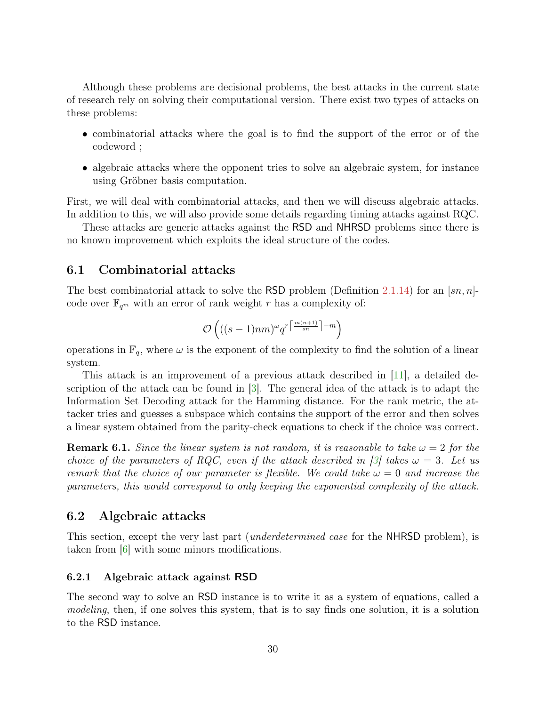<span id="page-29-3"></span>Although these problems are decisional problems, the best attacks in the current state of research rely on solving their computational version. There exist two types of attacks on these problems:

- combinatorial attacks where the goal is to find the support of the error or of the codeword ;
- algebraic attacks where the opponent tries to solve an algebraic system, for instance using Gröbner basis computation.

First, we will deal with combinatorial attacks, and then we will discuss algebraic attacks. In addition to this, we will also provide some details regarding timing attacks against RQC.

These attacks are generic attacks against the RSD and NHRSD problems since there is no known improvement which exploits the ideal structure of the codes.

### <span id="page-29-0"></span>6.1 Combinatorial attacks

The best combinatorial attack to solve the RSD problem (Definition [2.1.14\)](#page-13-3) for an  $\left[\text{sn}, \text{n}\right]$ code over  $\mathbb{F}_{q^m}$  with an error of rank weight r has a complexity of:

$$
\mathcal{O}\left(((s-1)nm)^\omega q^{r\left\lceil \frac{m(n+1)}{sn}\right\rceil -m}\right)
$$

operations in  $\mathbb{F}_q$ , where  $\omega$  is the exponent of the complexity to find the solution of a linear system.

This attack is an improvement of a previous attack described in [\[11\]](#page-35-6), a detailed description of the attack can be found in [\[3\]](#page-34-6). The general idea of the attack is to adapt the Information Set Decoding attack for the Hamming distance. For the rank metric, the attacker tries and guesses a subspace which contains the support of the error and then solves a linear system obtained from the parity-check equations to check if the choice was correct.

**Remark 6.1.** Since the linear system is not random, it is reasonable to take  $\omega = 2$  for the choice of the parameters of RQC, even if the attack described in [\[3\]](#page-34-6) takes  $\omega = 3$ . Let us remark that the choice of our parameter is flexible. We could take  $\omega = 0$  and increase the parameters, this would correspond to only keeping the exponential complexity of the attack.

### <span id="page-29-1"></span>6.2 Algebraic attacks

This section, except the very last part (*underdetermined case* for the NHRSD problem), is taken from [\[6\]](#page-35-1) with some minors modifications.

#### <span id="page-29-2"></span>6.2.1 Algebraic attack against RSD

The second way to solve an RSD instance is to write it as a system of equations, called a modeling, then, if one solves this system, that is to say finds one solution, it is a solution to the RSD instance.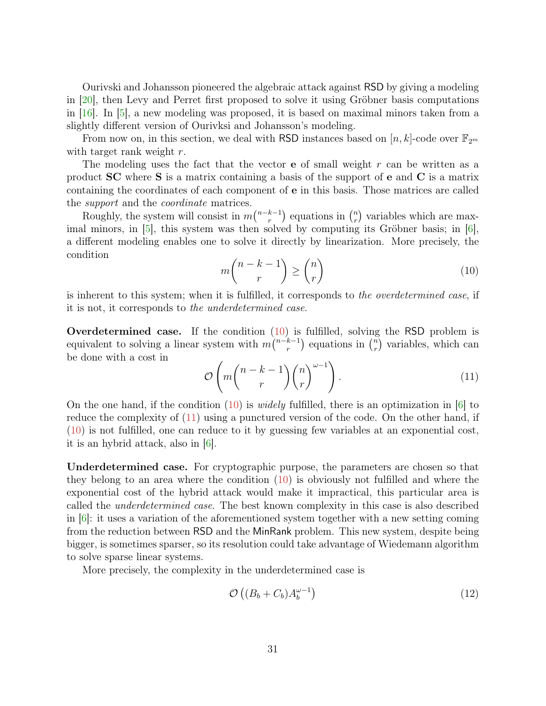<span id="page-30-2"></span>Ourivski and Johansson pioneered the algebraic attack against RSD by giving a modeling in [\[20\]](#page-36-7), then Levy and Perret first proposed to solve it using Gröbner basis computations in  $[16]$ . In  $[5]$ , a new modeling was proposed, it is based on maximal minors taken from a slightly different version of Ourivksi and Johansson's modeling.

From now on, in this section, we deal with RSD instances based on  $[n, k]$ -code over  $\mathbb{F}_{2^m}$ with target rank weight r.

The modeling uses the fact that the vector **e** of small weight  $r$  can be written as a product SC where S is a matrix containing a basis of the support of e and C is a matrix containing the coordinates of each component of e in this basis. Those matrices are called the support and the coordinate matrices.

Roughly, the system will consist in  $m\binom{n-k-1}{r}$  $\binom{k-1}{r}$  equations in  $\binom{n}{r}$  $\binom{n}{r}$  variables which are maximal minors, in  $[5]$ , this system was then solved by computing its Gröbner basis; in  $[6]$ , a different modeling enables one to solve it directly by linearization. More precisely, the condition

<span id="page-30-0"></span>
$$
m\binom{n-k-1}{r} \geq \binom{n}{r} \tag{10}
$$

is inherent to this system; when it is fulfilled, it corresponds to the overdetermined case, if it is not, it corresponds to the underdetermined case.

Overdetermined case. If the condition [\(10\)](#page-30-0) is fulfilled, solving the RSD problem is equivalent to solving a linear system with  $m\binom{n-k-1}{r}$  $\binom{k-1}{r}$  equations in  $\binom{n}{r}$  $\binom{n}{r}$  variables, which can be done with a cost in

<span id="page-30-1"></span>
$$
\mathcal{O}\left(m\binom{n-k-1}{r}\binom{n}{r}^{\omega-1}\right).
$$
\n(11)

On the one hand, if the condition [\(10\)](#page-30-0) is *widely* fulfilled, there is an optimization in [\[6\]](#page-35-1) to reduce the complexity of [\(11\)](#page-30-1) using a punctured version of the code. On the other hand, if [\(10\)](#page-30-0) is not fulfilled, one can reduce to it by guessing few variables at an exponential cost, it is an hybrid attack, also in [\[6\]](#page-35-1).

Underdetermined case. For cryptographic purpose, the parameters are chosen so that they belong to an area where the condition  $(10)$  is obviously not fulfilled and where the exponential cost of the hybrid attack would make it impractical, this particular area is called the underdetermined case. The best known complexity in this case is also described in  $|6|$ : it uses a variation of the aforementioned system together with a new setting coming from the reduction between RSD and the MinRank problem. This new system, despite being bigger, is sometimes sparser, so its resolution could take advantage of Wiedemann algorithm to solve sparse linear systems.

More precisely, the complexity in the underdetermined case is

$$
\mathcal{O}\left((B_b + C_b)A_b^{\omega - 1}\right) \tag{12}
$$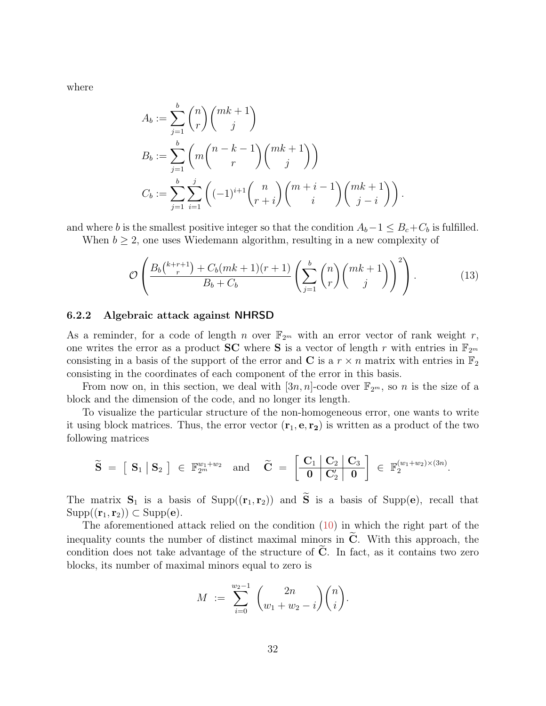where

$$
A_b := \sum_{j=1}^b \binom{n}{r} \binom{mk+1}{j}
$$
  
\n
$$
B_b := \sum_{j=1}^b \left( m \binom{n-k-1}{r} \binom{mk+1}{j} \right)
$$
  
\n
$$
C_b := \sum_{j=1}^b \sum_{i=1}^j \left( (-1)^{i+1} \binom{n}{r+i} \binom{m+i-1}{i} \binom{mk+1}{j-i} \right).
$$

and where b is the smallest positive integer so that the condition  $A_b-1 \leq B_c+C_b$  is fulfilled.

When  $b \geq 2$ , one uses Wiedemann algorithm, resulting in a new complexity of

$$
\mathcal{O}\left(\frac{B_b\binom{k+r+1}{r} + C_b(mk+1)(r+1)}{B_b + C_b}\left(\sum_{j=1}^b \binom{n}{r} \binom{mk+1}{j}\right)^2\right). \tag{13}
$$

#### <span id="page-31-0"></span>6.2.2 Algebraic attack against NHRSD

As a reminder, for a code of length n over  $\mathbb{F}_{2^m}$  with an error vector of rank weight r, one writes the error as a product **SC** where **S** is a vector of length r with entries in  $\mathbb{F}_{2^m}$ consisting in a basis of the support of the error and C is a  $r \times n$  matrix with entries in  $\mathbb{F}_2$ consisting in the coordinates of each component of the error in this basis.

From now on, in this section, we deal with  $[3n, n]$ -code over  $\mathbb{F}_{2^m}$ , so n is the size of a block and the dimension of the code, and no longer its length.

To visualize the particular structure of the non-homogeneous error, one wants to write it using block matrices. Thus, the error vector  $(\mathbf{r}_1, \mathbf{e}, \mathbf{r}_2)$  is written as a product of the two following matrices

$$
\widetilde{\mathbf{S}}~=~\left[~\mathbf{S}_1~\big|~\mathbf{S}_2~\right]~\in~\mathbb{F}_{2^m}^{w_1+w_2} \quad \text{and} \quad \widetilde{\mathbf{C}}~=~\left[ \begin{array}{c|c} \mathbf{C}_1 & \mathbf{C}_2 & \mathbf{C}_3 \\ \hline \mathbf{0} & \mathbf{C}_2' & \mathbf{0} \end{array} \right]~\in~\mathbb{F}_2^{(w_1+w_2)\times(3n)}.
$$

The matrix  $S_1$  is a basis of Supp( $(r_1, r_2)$ ) and  $\widetilde{S}$  is a basis of Supp(e), recall that  $Supp((\mathbf{r}_1, \mathbf{r}_2)) \subset Supp(\mathbf{e}).$ 

The aforementioned attack relied on the condition [\(10\)](#page-30-0) in which the right part of the inequality counts the number of distinct maximal minors in  $\tilde{C}$ . With this approach, the condition does not take advantage of the structure of  $C$ . In fact, as it contains two zero blocks, its number of maximal minors equal to zero is

$$
M := \sum_{i=0}^{w_2-1} {2n \choose w_1 + w_2 - i} {n \choose i}.
$$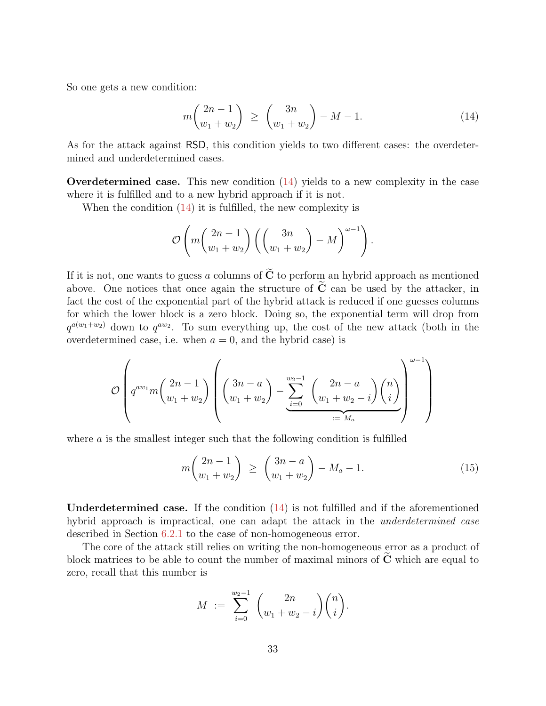So one gets a new condition:

<span id="page-32-0"></span>
$$
m\binom{2n-1}{w_1+w_2} \ge \binom{3n}{w_1+w_2} - M - 1. \tag{14}
$$

As for the attack against RSD, this condition yields to two different cases: the overdetermined and underdetermined cases.

**Overdetermined case.** This new condition  $(14)$  yields to a new complexity in the case where it is fulfilled and to a new hybrid approach if it is not.

When the condition  $(14)$  it is fulfilled, the new complexity is

$$
\mathcal{O}\left(m\left(\frac{2n-1}{w_1+w_2}\right)\left(\left(\frac{3n}{w_1+w_2}\right)-M\right)^{\omega-1}\right).
$$

If it is not, one wants to guess a columns of  $\tilde{C}$  to perform an hybrid approach as mentioned above. One notices that once again the structure of  $C$  can be used by the attacker, in fact the cost of the exponential part of the hybrid attack is reduced if one guesses columns for which the lower block is a zero block. Doing so, the exponential term will drop from  $q^{a(w_1+w_2)}$  down to  $q^{aw_2}$ . To sum everything up, the cost of the new attack (both in the overdetermined case, i.e. when  $a = 0$ , and the hybrid case) is

$$
\mathcal{O}\left(q^{aw_1}m\binom{2n-1}{w_1+w_2}\left(\binom{3n-a}{w_1+w_2}-\sum_{i=0}^{w_2-1}\binom{2n-a}{w_1+w_2-i}\binom{n}{i}\right)^{\omega-1}\right)
$$

where a is the smallest integer such that the following condition is fulfilled

$$
m\binom{2n-1}{w_1+w_2} \ge \binom{3n-a}{w_1+w_2} - M_a - 1. \tag{15}
$$

Underdetermined case. If the condition [\(14\)](#page-32-0) is not fulfilled and if the aforementioned hybrid approach is impractical, one can adapt the attack in the *underdetermined case* described in Section [6.2.1](#page-29-2) to the case of non-homogeneous error.

The core of the attack still relies on writing the non-homogeneous error as a product of block matrices to be able to count the number of maximal minors of  $C$  which are equal to zero, recall that this number is

$$
M = \sum_{i=0}^{w_2-1} {2n \choose w_1 + w_2 - i} {n \choose i}.
$$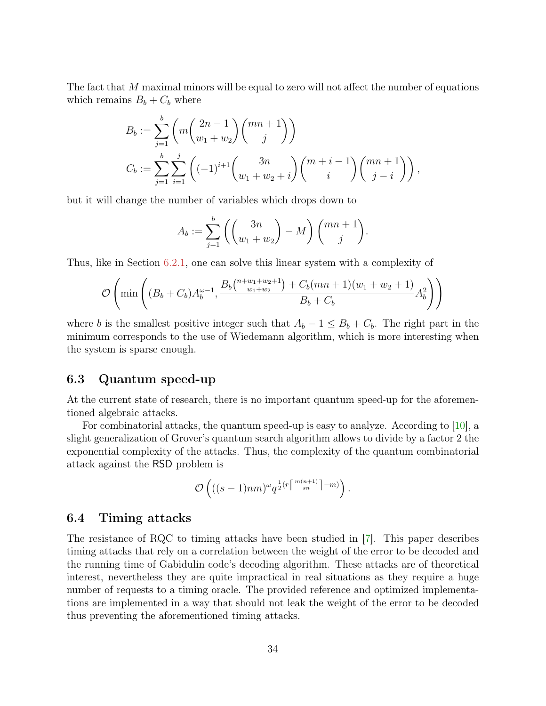<span id="page-33-2"></span>The fact that M maximal minors will be equal to zero will not affect the number of equations which remains  $B_b + C_b$  where

$$
B_b := \sum_{j=1}^b \left( m \binom{2n-1}{w_1 + w_2} \binom{mn+1}{j} \right)
$$
  

$$
C_b := \sum_{j=1}^b \sum_{i=1}^j \left( (-1)^{i+1} \binom{3n}{w_1 + w_2 + i} \binom{m+i-1}{i} \binom{mn+1}{j-i} \right),
$$

but it will change the number of variables which drops down to

$$
A_b := \sum_{j=1}^b \left( \binom{3n}{w_1 + w_2} - M \right) \binom{mn+1}{j}.
$$

Thus, like in Section [6.2.1,](#page-29-2) one can solve this linear system with a complexity of

$$
\mathcal{O}\left(\min\left((B_b + C_b)A_b^{\omega - 1}, \frac{B_b\binom{n + w_1 + w_2 + 1}{w_1 + w_2} + C_b(mn + 1)(w_1 + w_2 + 1)}{B_b + C_b}A_b^2\right)\right)
$$

where b is the smallest positive integer such that  $A_b - 1 \leq B_b + C_b$ . The right part in the minimum corresponds to the use of Wiedemann algorithm, which is more interesting when the system is sparse enough.

### <span id="page-33-0"></span>6.3 Quantum speed-up

At the current state of research, there is no important quantum speed-up for the aforementioned algebraic attacks.

For combinatorial attacks, the quantum speed-up is easy to analyze. According to [\[10\]](#page-35-7), a slight generalization of Grover's quantum search algorithm allows to divide by a factor 2 the exponential complexity of the attacks. Thus, the complexity of the quantum combinatorial attack against the RSD problem is

$$
\mathcal{O}\left(((s-1)nm)^{\omega}q^{\frac{1}{2}(r\left\lceil \frac{m(n+1)}{sn}\right\rceil -m)}\right).
$$

#### <span id="page-33-1"></span>6.4 Timing attacks

The resistance of RQC to timing attacks have been studied in [\[7\]](#page-35-9). This paper describes timing attacks that rely on a correlation between the weight of the error to be decoded and the running time of Gabidulin code's decoding algorithm. These attacks are of theoretical interest, nevertheless they are quite impractical in real situations as they require a huge number of requests to a timing oracle. The provided reference and optimized implementations are implemented in a way that should not leak the weight of the error to be decoded thus preventing the aforementioned timing attacks.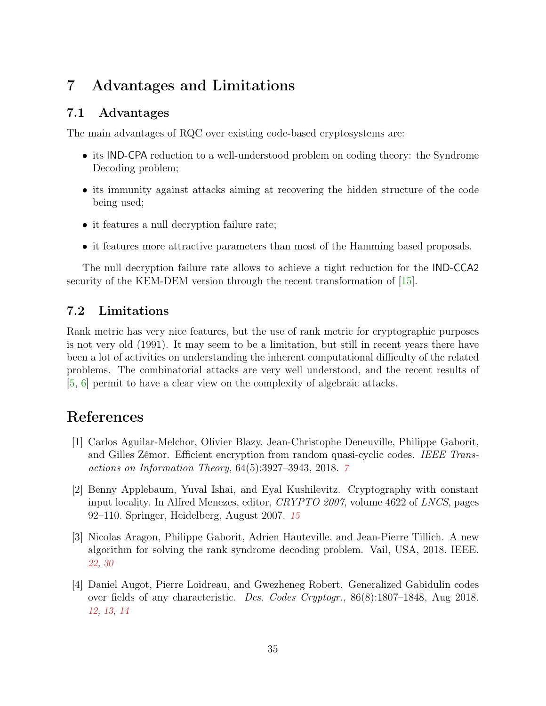## <span id="page-34-7"></span><span id="page-34-0"></span>7 Advantages and Limitations

## <span id="page-34-1"></span>7.1 Advantages

The main advantages of RQC over existing code-based cryptosystems are:

- its IND-CPA reduction to a well-understood problem on coding theory: the Syndrome Decoding problem;
- its immunity against attacks aiming at recovering the hidden structure of the code being used;
- it features a null decryption failure rate;
- it features more attractive parameters than most of the Hamming based proposals.

The null decryption failure rate allows to achieve a tight reduction for the IND-CCA2 security of the KEM-DEM version through the recent transformation of [\[15\]](#page-36-1).

## <span id="page-34-2"></span>7.2 Limitations

Rank metric has very nice features, but the use of rank metric for cryptographic purposes is not very old (1991). It may seem to be a limitation, but still in recent years there have been a lot of activities on understanding the inherent computational difficulty of the related problems. The combinatorial attacks are very well understood, and the recent results of [\[5,](#page-35-0) [6\]](#page-35-1) permit to have a clear view on the complexity of algebraic attacks.

## References

- <span id="page-34-3"></span>[1] Carlos Aguilar-Melchor, Olivier Blazy, Jean-Christophe Deneuville, Philippe Gaborit, and Gilles Zémor. Efficient encryption from random quasi-cyclic codes. IEEE Transactions on Information Theory, 64(5):3927–3943, 2018. [7](#page-6-3)
- <span id="page-34-5"></span>[2] Benny Applebaum, Yuval Ishai, and Eyal Kushilevitz. Cryptography with constant input locality. In Alfred Menezes, editor, CRYPTO 2007, volume 4622 of LNCS, pages 92–110. Springer, Heidelberg, August 2007. [15](#page-14-1)
- <span id="page-34-6"></span>[3] Nicolas Aragon, Philippe Gaborit, Adrien Hauteville, and Jean-Pierre Tillich. A new algorithm for solving the rank syndrome decoding problem. Vail, USA, 2018. IEEE. [22,](#page-21-1) [30](#page-29-3)
- <span id="page-34-4"></span>[4] Daniel Augot, Pierre Loidreau, and Gwezheneg Robert. Generalized Gabidulin codes over fields of any characteristic. Des. Codes Cryptogr., 86(8):1807–1848, Aug 2018. [12,](#page-11-1) [13,](#page-12-0) [14](#page-13-4)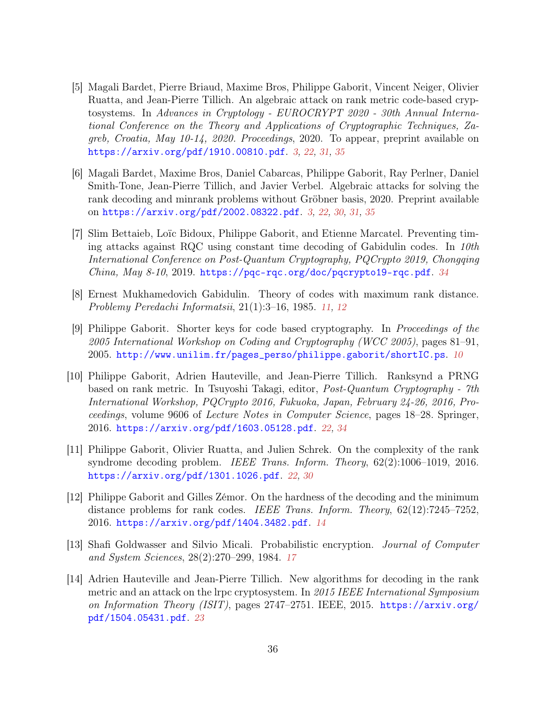- <span id="page-35-0"></span>[5] Magali Bardet, Pierre Briaud, Maxime Bros, Philippe Gaborit, Vincent Neiger, Olivier Ruatta, and Jean-Pierre Tillich. An algebraic attack on rank metric code-based cryptosystems. In Advances in Cryptology - EUROCRYPT 2020 - 30th Annual International Conference on the Theory and Applications of Cryptographic Techniques, Zagreb, Croatia, May 10-14, 2020. Proceedings, 2020. To appear, preprint available on <https://arxiv.org/pdf/1910.00810.pdf>. [3,](#page-2-3) [22,](#page-21-1) [31,](#page-30-2) [35](#page-34-7)
- <span id="page-35-1"></span>[6] Magali Bardet, Maxime Bros, Daniel Cabarcas, Philippe Gaborit, Ray Perlner, Daniel Smith-Tone, Jean-Pierre Tillich, and Javier Verbel. Algebraic attacks for solving the rank decoding and minrank problems without Gröbner basis, 2020. Preprint available on <https://arxiv.org/pdf/2002.08322.pdf>. [3,](#page-2-3) [22,](#page-21-1) [30,](#page-29-3) [31,](#page-30-2) [35](#page-34-7)
- <span id="page-35-9"></span>[7] Slim Bettaieb, Loïc Bidoux, Philippe Gaborit, and Etienne Marcatel. Preventing timing attacks against RQC using constant time decoding of Gabidulin codes. In  $10$ th International Conference on Post-Quantum Cryptography, PQCrypto 2019, Chongqing China, May 8-10, 2019. <https://pqc-rqc.org/doc/pqcrypto19-rqc.pdf>. [34](#page-33-2)
- <span id="page-35-3"></span>[8] Ernest Mukhamedovich Gabidulin. Theory of codes with maximum rank distance. Problemy Peredachi Informatsii, 21(1):3–16, 1985. [11,](#page-10-1) [12](#page-11-1)
- <span id="page-35-2"></span>[9] Philippe Gaborit. Shorter keys for code based cryptography. In Proceedings of the 2005 International Workshop on Coding and Cryptography (WCC 2005), pages 81–91, 2005. [http://www.unilim.fr/pages\\_perso/philippe.gaborit/shortIC.ps](http://www.unilim.fr/pages_perso/philippe.gaborit/shortIC.ps). [10](#page-9-1)
- <span id="page-35-7"></span>[10] Philippe Gaborit, Adrien Hauteville, and Jean-Pierre Tillich. Ranksynd a PRNG based on rank metric. In Tsuyoshi Takagi, editor, Post-Quantum Cryptography - 7th International Workshop, PQCrypto 2016, Fukuoka, Japan, February 24-26, 2016, Proceedings, volume 9606 of Lecture Notes in Computer Science, pages 18–28. Springer, 2016. <https://arxiv.org/pdf/1603.05128.pdf>. [22,](#page-21-1) [34](#page-33-2)
- <span id="page-35-6"></span>[11] Philippe Gaborit, Olivier Ruatta, and Julien Schrek. On the complexity of the rank syndrome decoding problem. IEEE Trans. Inform. Theory, 62(2):1006–1019, 2016. <https://arxiv.org/pdf/1301.1026.pdf>. [22,](#page-21-1) [30](#page-29-3)
- <span id="page-35-4"></span>[12] Philippe Gaborit and Gilles Zémor. On the hardness of the decoding and the minimum distance problems for rank codes. *IEEE Trans. Inform. Theory*,  $62(12):7245-7252$ , 2016. <https://arxiv.org/pdf/1404.3482.pdf>. [14](#page-13-4)
- <span id="page-35-5"></span>[13] Shafi Goldwasser and Silvio Micali. Probabilistic encryption. Journal of Computer and System Sciences, 28(2):270–299, 1984. [17](#page-16-1)
- <span id="page-35-8"></span>[14] Adrien Hauteville and Jean-Pierre Tillich. New algorithms for decoding in the rank metric and an attack on the lrpc cryptosystem. In 2015 IEEE International Symposium on Information Theory (ISIT), pages 2747–2751. IEEE, 2015. [https://arxiv.org/](https://arxiv.org/pdf/1504.05431.pdf) [pdf/1504.05431.pdf](https://arxiv.org/pdf/1504.05431.pdf). [23](#page-22-3)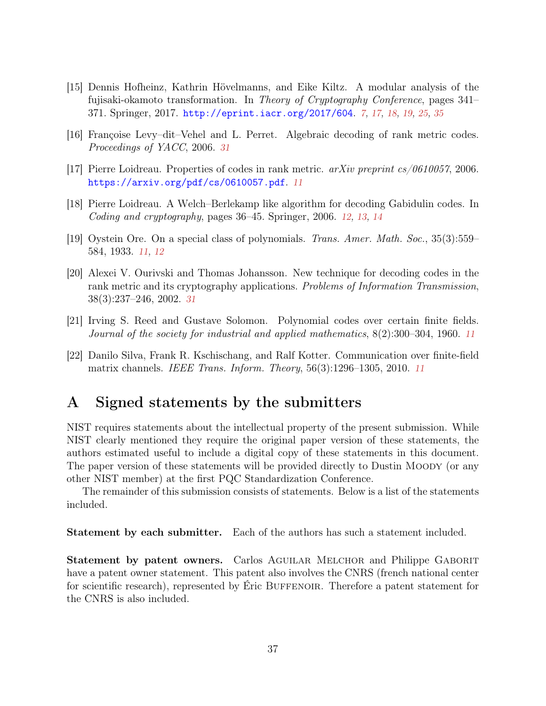- <span id="page-36-1"></span>[15] Dennis Hofheinz, Kathrin Hövelmanns, and Eike Kiltz. A modular analysis of the fujisaki-okamoto transformation. In Theory of Cryptography Conference, pages 341– 371. Springer, 2017. <http://eprint.iacr.org/2017/604>. [7,](#page-6-3) [17,](#page-16-1) [18,](#page-17-2) [19,](#page-18-2) [25,](#page-24-4) [35](#page-34-7)
- <span id="page-36-8"></span>[16] Françoise Levy–dit–Vehel and L. Perret. Algebraic decoding of rank metric codes. Proceedings of YACC, 2006. [31](#page-30-2)
- <span id="page-36-2"></span>[17] Pierre Loidreau. Properties of codes in rank metric. arXiv preprint cs/0610057, 2006. <https://arxiv.org/pdf/cs/0610057.pdf>. [11](#page-10-1)
- <span id="page-36-6"></span>[18] Pierre Loidreau. A Welch–Berlekamp like algorithm for decoding Gabidulin codes. In Coding and cryptography, pages 36–45. Springer, 2006. [12,](#page-11-1) [13,](#page-12-0) [14](#page-13-4)
- <span id="page-36-5"></span>[19] Oystein Ore. On a special class of polynomials. Trans. Amer. Math. Soc., 35(3):559– 584, 1933. [11,](#page-10-1) [12](#page-11-1)
- <span id="page-36-7"></span>[20] Alexei V. Ourivski and Thomas Johansson. New technique for decoding codes in the rank metric and its cryptography applications. Problems of Information Transmission, 38(3):237–246, 2002. [31](#page-30-2)
- <span id="page-36-4"></span>[21] Irving S. Reed and Gustave Solomon. Polynomial codes over certain finite fields. Journal of the society for industrial and applied mathematics, 8(2):300–304, 1960. [11](#page-10-1)
- <span id="page-36-3"></span>[22] Danilo Silva, Frank R. Kschischang, and Ralf Kotter. Communication over finite-field matrix channels. IEEE Trans. Inform. Theory, 56(3):1296–1305, 2010. [11](#page-10-1)

## <span id="page-36-0"></span>A Signed statements by the submitters

NIST requires statements about the intellectual property of the present submission. While NIST clearly mentioned they require the original paper version of these statements, the authors estimated useful to include a digital copy of these statements in this document. The paper version of these statements will be provided directly to Dustin MOODY (or any other NIST member) at the first PQC Standardization Conference.

The remainder of this submission consists of statements. Below is a list of the statements included.

Statement by each submitter. Each of the authors has such a statement included.

Statement by patent owners. Carlos AGUILAR MELCHOR and Philippe GABORIT have a patent owner statement. This patent also involves the CNRS (french national center for scientific research), represented by Eric BUFFENOIR. Therefore a patent statement for the CNRS is also included.